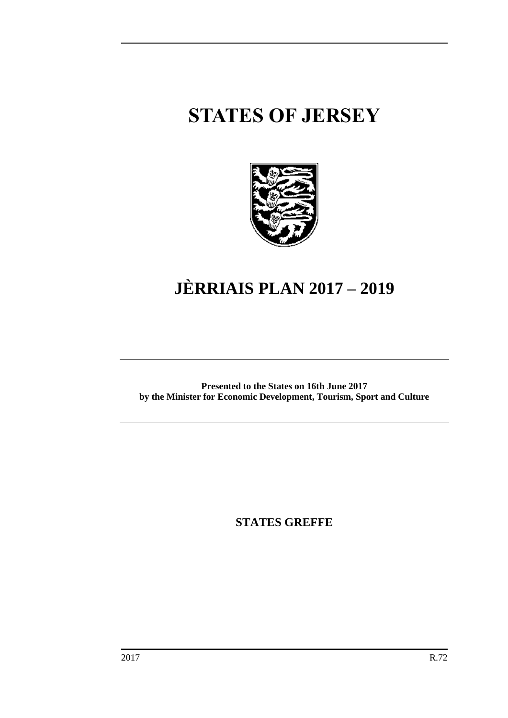# **STATES OF JERSEY**



# **JÈRRIAIS PLAN 2017 – 2019**

**Presented to the States on 16th June 2017 by the Minister for Economic Development, Tourism, Sport and Culture**

**STATES GREFFE**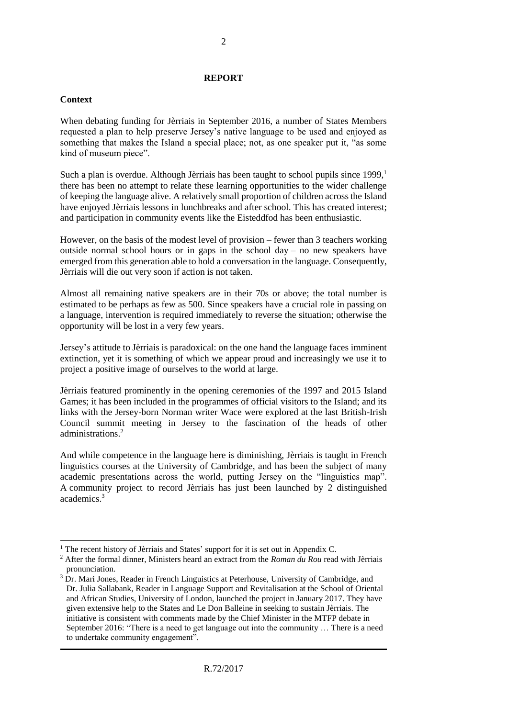#### **REPORT**

#### **Context**

 $\overline{a}$ 

When debating funding for Jèrriais in September 2016, a number of States Members requested a plan to help preserve Jersey's native language to be used and enjoyed as something that makes the Island a special place; not, as one speaker put it, "as some kind of museum piece".

Such a plan is overdue. Although Jèrriais has been taught to school pupils since  $1999<sup>1</sup>$ there has been no attempt to relate these learning opportunities to the wider challenge of keeping the language alive. A relatively small proportion of children across the Island have enjoyed Jèrriais lessons in lunchbreaks and after school. This has created interest; and participation in community events like the Eisteddfod has been enthusiastic.

However, on the basis of the modest level of provision – fewer than 3 teachers working outside normal school hours or in gaps in the school day – no new speakers have emerged from this generation able to hold a conversation in the language. Consequently, Jèrriais will die out very soon if action is not taken.

Almost all remaining native speakers are in their 70s or above; the total number is estimated to be perhaps as few as 500. Since speakers have a crucial role in passing on a language, intervention is required immediately to reverse the situation; otherwise the opportunity will be lost in a very few years.

Jersey's attitude to Jèrriais is paradoxical: on the one hand the language faces imminent extinction, yet it is something of which we appear proud and increasingly we use it to project a positive image of ourselves to the world at large.

Jèrriais featured prominently in the opening ceremonies of the 1997 and 2015 Island Games; it has been included in the programmes of official visitors to the Island; and its links with the Jersey-born Norman writer Wace were explored at the last British-Irish Council summit meeting in Jersey to the fascination of the heads of other administrations.<sup>2</sup>

And while competence in the language here is diminishing, Jèrriais is taught in French linguistics courses at the University of Cambridge, and has been the subject of many academic presentations across the world, putting Jersey on the "linguistics map". A community project to record Jèrriais has just been launched by 2 distinguished academics.<sup>3</sup>

<sup>&</sup>lt;sup>1</sup> The recent history of Jèrriais and States' support for it is set out in Appendix C.

<sup>2</sup> After the formal dinner, Ministers heard an extract from the *Roman du Rou* read with Jèrriais pronunciation.

<sup>&</sup>lt;sup>3</sup> Dr. Mari Jones, Reader in French Linguistics at Peterhouse, University of Cambridge, and Dr. Julia Sallabank, Reader in Language Support and Revitalisation at the School of Oriental and African Studies, University of London, launched the project in January 2017. They have given extensive help to the States and Le Don Balleine in seeking to sustain Jèrriais. The initiative is consistent with comments made by the Chief Minister in the MTFP debate in September 2016: "There is a need to get language out into the community … There is a need to undertake community engagement".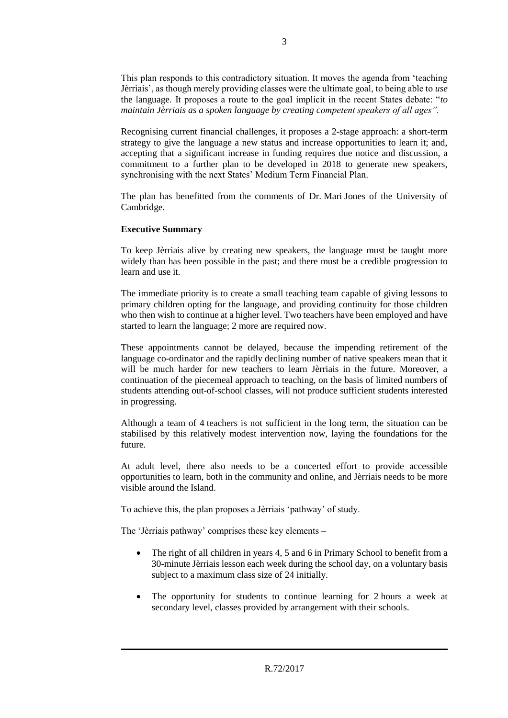This plan responds to this contradictory situation. It moves the agenda from 'teaching Jèrriais', as though merely providing classes were the ultimate goal, to being able to *use* the language. It proposes a route to the goal implicit in the recent States debate: "*to maintain Jèrriais as a spoken language by creating competent speakers of all ages".*

Recognising current financial challenges, it proposes a 2-stage approach: a short-term strategy to give the language a new status and increase opportunities to learn it; and, accepting that a significant increase in funding requires due notice and discussion, a commitment to a further plan to be developed in 2018 to generate new speakers, synchronising with the next States' Medium Term Financial Plan.

The plan has benefitted from the comments of Dr. Mari Jones of the University of Cambridge.

#### **Executive Summary**

To keep Jèrriais alive by creating new speakers, the language must be taught more widely than has been possible in the past; and there must be a credible progression to learn and use it.

The immediate priority is to create a small teaching team capable of giving lessons to primary children opting for the language, and providing continuity for those children who then wish to continue at a higher level. Two teachers have been employed and have started to learn the language; 2 more are required now.

These appointments cannot be delayed, because the impending retirement of the language co-ordinator and the rapidly declining number of native speakers mean that it will be much harder for new teachers to learn Jèrriais in the future. Moreover, a continuation of the piecemeal approach to teaching, on the basis of limited numbers of students attending out-of-school classes, will not produce sufficient students interested in progressing.

Although a team of 4 teachers is not sufficient in the long term, the situation can be stabilised by this relatively modest intervention now, laying the foundations for the future.

At adult level, there also needs to be a concerted effort to provide accessible opportunities to learn, both in the community and online, and Jèrriais needs to be more visible around the Island.

To achieve this, the plan proposes a Jèrriais 'pathway' of study.

The 'Jèrriais pathway' comprises these key elements –

- The right of all children in years 4, 5 and 6 in Primary School to benefit from a 30-minute Jèrriais lesson each week during the school day, on a voluntary basis subject to a maximum class size of 24 initially.
- The opportunity for students to continue learning for 2 hours a week at secondary level, classes provided by arrangement with their schools.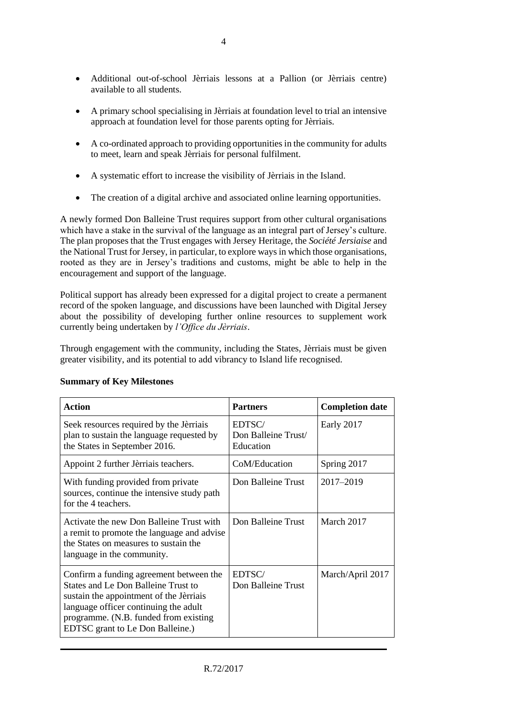- Additional out-of-school Jèrriais lessons at a Pallion (or Jèrriais centre) available to all students.
- A primary school specialising in Jèrriais at foundation level to trial an intensive approach at foundation level for those parents opting for Jèrriais.
- A co-ordinated approach to providing opportunities in the community for adults to meet, learn and speak Jèrriais for personal fulfilment.
- A systematic effort to increase the visibility of Jèrriais in the Island.
- The creation of a digital archive and associated online learning opportunities.

A newly formed Don Balleine Trust requires support from other cultural organisations which have a stake in the survival of the language as an integral part of Jersey's culture. The plan proposes that the Trust engages with Jersey Heritage, the *Société Jersiaise* and the National Trust for Jersey, in particular, to explore ways in which those organisations, rooted as they are in Jersey's traditions and customs, might be able to help in the encouragement and support of the language.

Political support has already been expressed for a digital project to create a permanent record of the spoken language, and discussions have been launched with Digital Jersey about the possibility of developing further online resources to supplement work currently being undertaken by *l'Office du Jèrriais*.

Through engagement with the community, including the States, Jèrriais must be given greater visibility, and its potential to add vibrancy to Island life recognised.

| <b>Action</b>                                                                                                                                                                                                                                          | <b>Partners</b>                            | <b>Completion date</b> |
|--------------------------------------------------------------------------------------------------------------------------------------------------------------------------------------------------------------------------------------------------------|--------------------------------------------|------------------------|
| Seek resources required by the Jèrriais<br>plan to sustain the language requested by<br>the States in September 2016.                                                                                                                                  | EDTSC/<br>Don Balleine Trust/<br>Education | Early 2017             |
| Appoint 2 further Jèrriais teachers.                                                                                                                                                                                                                   | CoM/Education                              | Spring 2017            |
| With funding provided from private<br>sources, continue the intensive study path<br>for the 4 teachers.                                                                                                                                                | Don Balleine Trust                         | 2017-2019              |
| Activate the new Don Balleine Trust with<br>a remit to promote the language and advise<br>the States on measures to sustain the<br>language in the community.                                                                                          | Don Balleine Trust                         | March 2017             |
| Confirm a funding agreement between the<br><b>States and Le Don Balleine Trust to</b><br>sustain the appointment of the Jèrriais<br>language officer continuing the adult<br>programme. (N.B. funded from existing<br>EDTSC grant to Le Don Balleine.) | EDTSC/<br>Don Balleine Trust               | March/April 2017       |

#### **Summary of Key Milestones**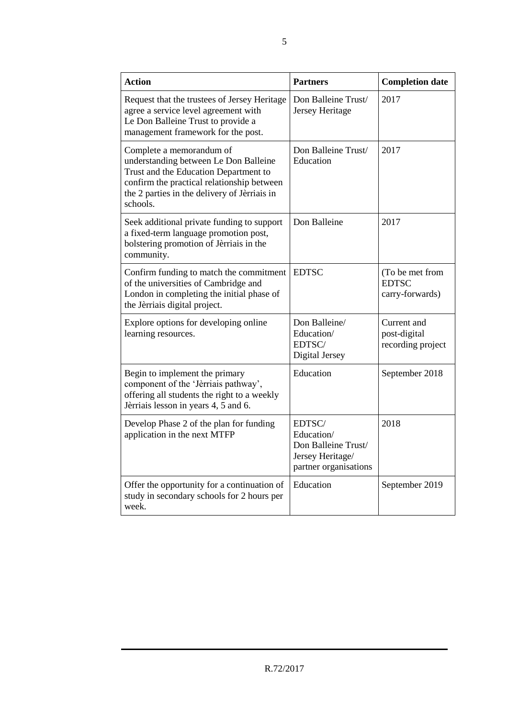| <b>Action</b>                                                                                                                                                                                                        | <b>Partners</b>                                                                          | <b>Completion date</b>                             |
|----------------------------------------------------------------------------------------------------------------------------------------------------------------------------------------------------------------------|------------------------------------------------------------------------------------------|----------------------------------------------------|
| Request that the trustees of Jersey Heritage<br>agree a service level agreement with<br>Le Don Balleine Trust to provide a<br>management framework for the post.                                                     | Don Balleine Trust/<br>Jersey Heritage                                                   | 2017                                               |
| Complete a memorandum of<br>understanding between Le Don Balleine<br>Trust and the Education Department to<br>confirm the practical relationship between<br>the 2 parties in the delivery of Jèrriais in<br>schools. | Don Balleine Trust/<br>Education                                                         | 2017                                               |
| Seek additional private funding to support<br>a fixed-term language promotion post,<br>bolstering promotion of Jèrriais in the<br>community.                                                                         | Don Balleine                                                                             | 2017                                               |
| Confirm funding to match the commitment<br>of the universities of Cambridge and<br>London in completing the initial phase of<br>the Jèrriais digital project.                                                        | <b>EDTSC</b>                                                                             | (To be met from<br><b>EDTSC</b><br>carry-forwards) |
| Explore options for developing online<br>learning resources.                                                                                                                                                         | Don Balleine/<br>Education/<br>EDTSC/<br>Digital Jersey                                  | Current and<br>post-digital<br>recording project   |
| Begin to implement the primary<br>component of the 'Jèrriais pathway',<br>offering all students the right to a weekly<br>Jèrriais lesson in years 4, 5 and 6.                                                        | Education                                                                                | September 2018                                     |
| Develop Phase 2 of the plan for funding<br>application in the next MTFP                                                                                                                                              | EDTSC/<br>Education/<br>Don Balleine Trust/<br>Jersey Heritage/<br>partner organisations | 2018                                               |
| Offer the opportunity for a continuation of<br>study in secondary schools for 2 hours per<br>week.                                                                                                                   | Education                                                                                | September 2019                                     |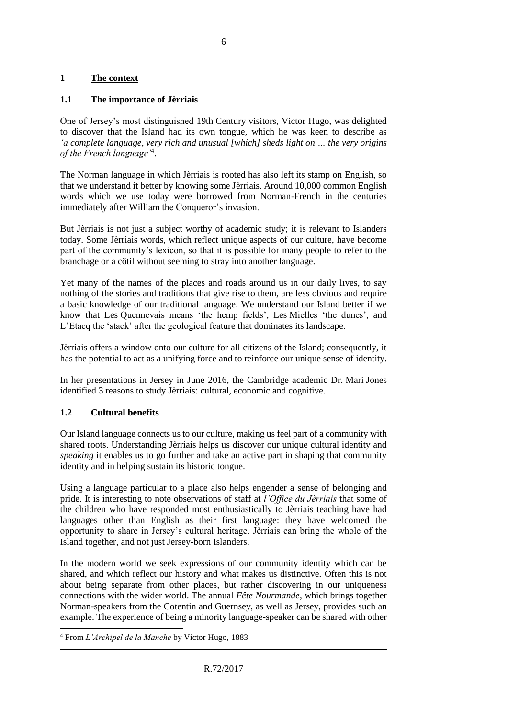### **1 The context**

### **1.1 The importance of Jèrriais**

One of Jersey's most distinguished 19th Century visitors, Victor Hugo, was delighted to discover that the Island had its own tongue, which he was keen to describe as *'a complete language, very rich and unusual [which] sheds light on … the very origins of the French language'*<sup>4</sup> .

The Norman language in which Jèrriais is rooted has also left its stamp on English, so that we understand it better by knowing some Jèrriais. Around 10,000 common English words which we use today were borrowed from Norman-French in the centuries immediately after William the Conqueror's invasion.

But Jèrriais is not just a subject worthy of academic study; it is relevant to Islanders today. Some Jèrriais words, which reflect unique aspects of our culture, have become part of the community's lexicon, so that it is possible for many people to refer to the branchage or a côtil without seeming to stray into another language.

Yet many of the names of the places and roads around us in our daily lives, to say nothing of the stories and traditions that give rise to them, are less obvious and require a basic knowledge of our traditional language. We understand our Island better if we know that Les Quennevais means 'the hemp fields', Les Mielles 'the dunes', and L'Etacq the 'stack' after the geological feature that dominates its landscape.

Jèrriais offers a window onto our culture for all citizens of the Island; consequently, it has the potential to act as a unifying force and to reinforce our unique sense of identity.

In her presentations in Jersey in June 2016, the Cambridge academic Dr. Mari Jones identified 3 reasons to study Jèrriais: cultural, economic and cognitive.

#### **1.2 Cultural benefits**

 $\overline{a}$ 

Our Island language connects us to our culture, making us feel part of a community with shared roots. Understanding Jèrriais helps us discover our unique cultural identity and *speaking* it enables us to go further and take an active part in shaping that community identity and in helping sustain its historic tongue.

Using a language particular to a place also helps engender a sense of belonging and pride. It is interesting to note observations of staff at *l'Office du Jèrriais* that some of the children who have responded most enthusiastically to Jèrriais teaching have had languages other than English as their first language: they have welcomed the opportunity to share in Jersey's cultural heritage. Jèrriais can bring the whole of the Island together, and not just Jersey-born Islanders.

In the modern world we seek expressions of our community identity which can be shared, and which reflect our history and what makes us distinctive. Often this is not about being separate from other places, but rather discovering in our uniqueness connections with the wider world. The annual *Fête Nourmande*, which brings together Norman-speakers from the Cotentin and Guernsey, as well as Jersey, provides such an example. The experience of being a minority language-speaker can be shared with other

<sup>4</sup> From *L'Archipel de la Manche* by Victor Hugo, 1883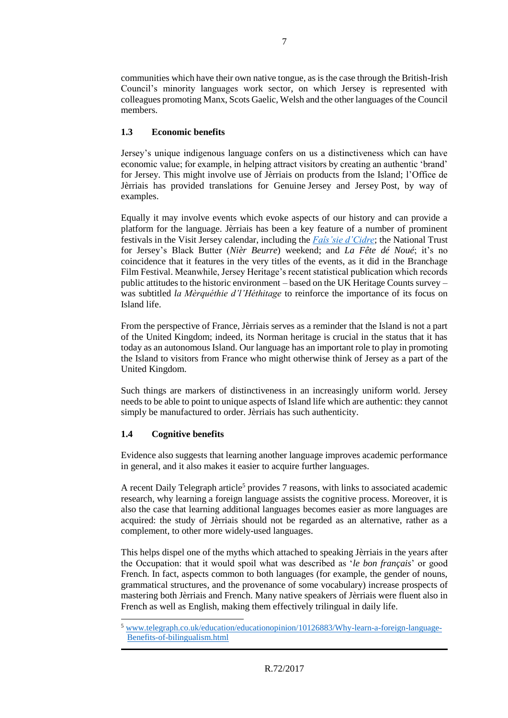communities which have their own native tongue, as is the case through the British-Irish Council's minority languages work sector, on which Jersey is represented with colleagues promoting Manx, Scots Gaelic, Welsh and the other languages of the Council members.

# **1.3 Economic benefits**

Jersey's unique indigenous language confers on us a distinctiveness which can have economic value; for example, in helping attract visitors by creating an authentic 'brand' for Jersey. This might involve use of Jèrriais on products from the Island; l'Office de Jèrriais has provided translations for Genuine Jersey and Jersey Post, by way of examples.

Equally it may involve events which evoke aspects of our history and can provide a platform for the language. Jèrriais has been a key feature of a number of prominent festivals in the Visit Jersey calendar, including the *[Faîs'sie d'Cidre](http://www.google.je/url?sa=t&rct=j&q=&esrc=s&source=web&cd=3&cad=rja&uact=8&ved=0ahUKEwi-xPnL_qjSAhVDC8AKHeCAAakQFggkMAI&url=http%3A%2F%2Fwww.routard.com%2Fguide_agenda_detail%2F8314%2Ffais_sie_d_cidre_festival_du_cidre_a_jersey.htm&usg=AFQjCNGFEADUKoPizbb-AFS2BuKz-SdmJA&bvm=bv.147448319,bs.1,d.d2s)*; the National Trust for Jersey's Black Butter (*Nièr Beurre*) weekend; and *La Fête dé Noué*; it's no coincidence that it features in the very titles of the events, as it did in the Branchage Film Festival. Meanwhile, Jersey Heritage's recent statistical publication which records public attitudes to the historic environment – based on the UK Heritage Counts survey – was subtitled *la Mèrquéthie d'l'Héthitage* to reinforce the importance of its focus on Island life.

From the perspective of France, Jèrriais serves as a reminder that the Island is not a part of the United Kingdom; indeed, its Norman heritage is crucial in the status that it has today as an autonomous Island. Our language has an important role to play in promoting the Island to visitors from France who might otherwise think of Jersey as a part of the United Kingdom.

Such things are markers of distinctiveness in an increasingly uniform world. Jersey needs to be able to point to unique aspects of Island life which are authentic: they cannot simply be manufactured to order. Jèrriais has such authenticity.

#### **1.4 Cognitive benefits**

1

Evidence also suggests that learning another language improves academic performance in general, and it also makes it easier to acquire further languages.

A recent Daily Telegraph article<sup>5</sup> provides 7 reasons, with links to associated academic research, why learning a foreign language assists the cognitive process. Moreover, it is also the case that learning additional languages becomes easier as more languages are acquired: the study of Jèrriais should not be regarded as an alternative, rather as a complement, to other more widely-used languages.

This helps dispel one of the myths which attached to speaking Jèrriais in the years after the Occupation: that it would spoil what was described as '*le bon français*' or good French. In fact, aspects common to both languages (for example, the gender of nouns, grammatical structures, and the provenance of some vocabulary) increase prospects of mastering both Jèrriais and French. Many native speakers of Jèrriais were fluent also in French as well as English, making them effectively trilingual in daily life.

<sup>5</sup> [www.telegraph.co.uk/education/educationopinion/10126883/Why-learn-a-foreign-language-](http://www.telegraph.co.uk/education/educationopinion/10126883/Why-learn-a-foreign-language-Benefits-of-bilingualism.html)[Benefits-of-bilingualism.html](http://www.telegraph.co.uk/education/educationopinion/10126883/Why-learn-a-foreign-language-Benefits-of-bilingualism.html)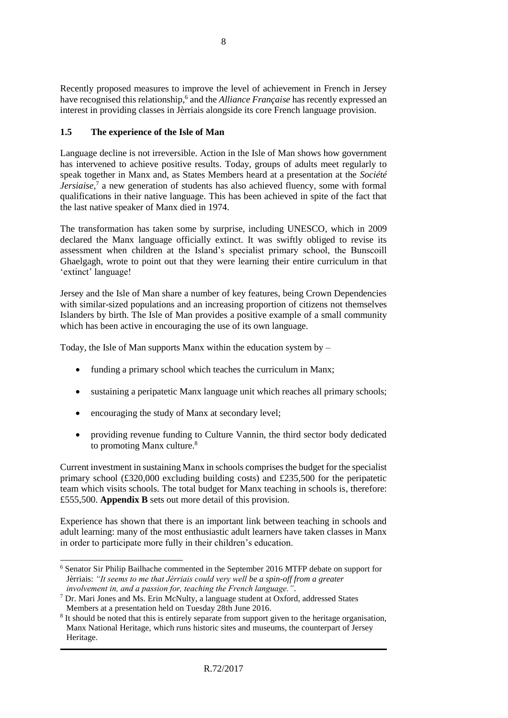Recently proposed measures to improve the level of achievement in French in Jersey have recognised this relationship,<sup>6</sup> and the *Alliance Française* has recently expressed an interest in providing classes in Jèrriais alongside its core French language provision.

# **1.5 The experience of the Isle of Man**

Language decline is not irreversible. Action in the Isle of Man shows how government has intervened to achieve positive results. Today, groups of adults meet regularly to speak together in Manx and, as States Members heard at a presentation at the *Société Jersiaise*, 7 a new generation of students has also achieved fluency, some with formal qualifications in their native language. This has been achieved in spite of the fact that the last native speaker of Manx died in 1974.

The transformation has taken some by surprise, including UNESCO, which in 2009 declared the Manx language officially extinct. It was swiftly obliged to revise its assessment when children at the Island's specialist primary school, the Bunscoill Ghaelgagh, wrote to point out that they were learning their entire curriculum in that 'extinct' language!

Jersey and the Isle of Man share a number of key features, being Crown Dependencies with similar-sized populations and an increasing proportion of citizens not themselves Islanders by birth. The Isle of Man provides a positive example of a small community which has been active in encouraging the use of its own language.

Today, the Isle of Man supports Manx within the education system by –

- funding a primary school which teaches the curriculum in Manx;
- sustaining a peripatetic Manx language unit which reaches all primary schools;
- encouraging the study of Manx at secondary level;
- providing revenue funding to Culture Vannin, the third sector body dedicated to promoting Manx culture.<sup>8</sup>

Current investment in sustaining Manx in schools comprises the budget for the specialist primary school  $(£320,000$  excluding building costs) and  $£235,500$  for the peripatetic team which visits schools. The total budget for Manx teaching in schools is, therefore: £555,500. **Appendix B** sets out more detail of this provision.

Experience has shown that there is an important link between teaching in schools and adult learning: many of the most enthusiastic adult learners have taken classes in Manx in order to participate more fully in their children's education.

 $\overline{a}$ <sup>6</sup> Senator Sir Philip Bailhache commented in the September 2016 MTFP debate on support for Jèrriais: *"It seems to me that Jèrriais could very well be a spin-off from a greater involvement in, and a passion for, teaching the French language."*.

<sup>7</sup> Dr. Mari Jones and Ms. Erin McNulty, a language student at Oxford, addressed States Members at a presentation held on Tuesday 28th June 2016.

<sup>&</sup>lt;sup>8</sup> It should be noted that this is entirely separate from support given to the heritage organisation, Manx National Heritage, which runs historic sites and museums, the counterpart of Jersey Heritage.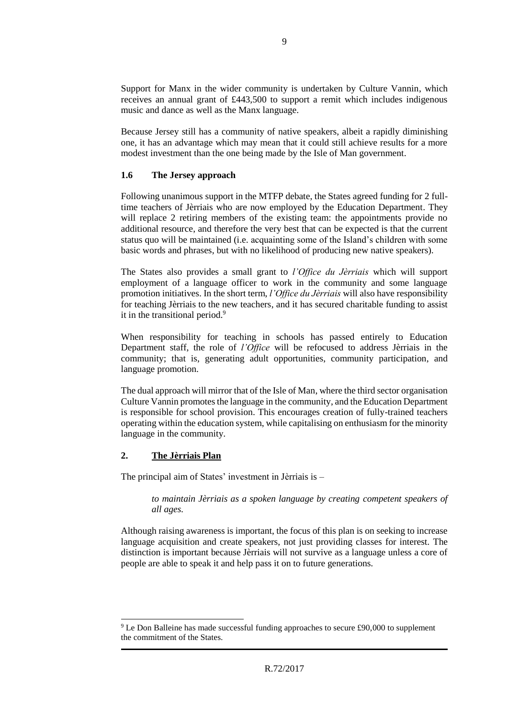Support for Manx in the wider community is undertaken by Culture Vannin, which receives an annual grant of £443,500 to support a remit which includes indigenous music and dance as well as the Manx language.

Because Jersey still has a community of native speakers, albeit a rapidly diminishing one, it has an advantage which may mean that it could still achieve results for a more modest investment than the one being made by the Isle of Man government.

#### **1.6 The Jersey approach**

Following unanimous support in the MTFP debate, the States agreed funding for 2 fulltime teachers of Jèrriais who are now employed by the Education Department. They will replace 2 retiring members of the existing team: the appointments provide no additional resource, and therefore the very best that can be expected is that the current status quo will be maintained (i.e. acquainting some of the Island's children with some basic words and phrases, but with no likelihood of producing new native speakers).

The States also provides a small grant to *l'Office du Jèrriais* which will support employment of a language officer to work in the community and some language promotion initiatives. In the short term, *l'Office du Jèrriais* will also have responsibility for teaching Jèrriais to the new teachers, and it has secured charitable funding to assist it in the transitional period.<sup>9</sup>

When responsibility for teaching in schools has passed entirely to Education Department staff, the role of *l'Office* will be refocused to address Jèrriais in the community; that is, generating adult opportunities, community participation, and language promotion.

The dual approach will mirror that of the Isle of Man, where the third sector organisation Culture Vannin promotes the language in the community, and the Education Department is responsible for school provision. This encourages creation of fully-trained teachers operating within the education system, while capitalising on enthusiasm for the minority language in the community.

#### **2. The Jèrriais Plan**

1

The principal aim of States' investment in Jèrriais is –

*to maintain Jèrriais as a spoken language by creating competent speakers of all ages.*

Although raising awareness is important, the focus of this plan is on seeking to increase language acquisition and create speakers, not just providing classes for interest. The distinction is important because Jèrriais will not survive as a language unless a core of people are able to speak it and help pass it on to future generations.

<sup>9</sup> Le Don Balleine has made successful funding approaches to secure £90,000 to supplement the commitment of the States.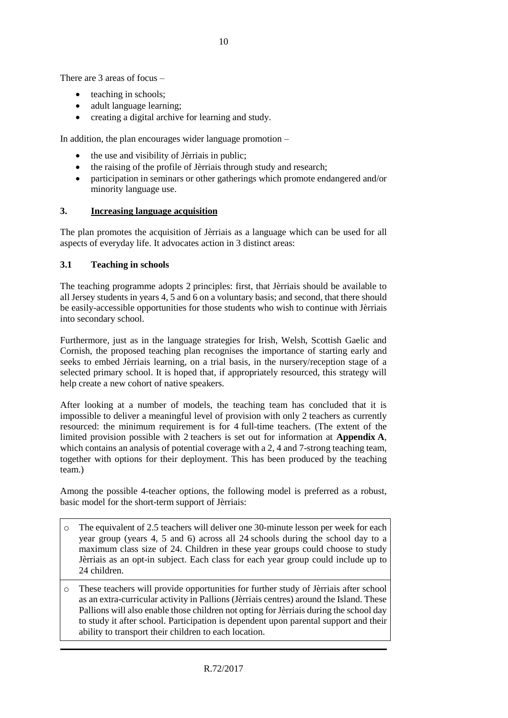There are 3 areas of focus –

- teaching in schools;
- adult language learning;
- creating a digital archive for learning and study.

In addition, the plan encourages wider language promotion –

- the use and visibility of Jèrriais in public;
- the raising of the profile of Jèrriais through study and research;
- participation in seminars or other gatherings which promote endangered and/or minority language use.

#### **3. Increasing language acquisition**

The plan promotes the acquisition of Jèrriais as a language which can be used for all aspects of everyday life. It advocates action in 3 distinct areas:

#### **3.1 Teaching in schools**

The teaching programme adopts 2 principles: first, that Jèrriais should be available to all Jersey students in years 4, 5 and 6 on a voluntary basis; and second, that there should be easily-accessible opportunities for those students who wish to continue with Jèrriais into secondary school.

Furthermore, just as in the language strategies for Irish, Welsh, Scottish Gaelic and Cornish, the proposed teaching plan recognises the importance of starting early and seeks to embed Jèrriais learning, on a trial basis, in the nursery/reception stage of a selected primary school. It is hoped that, if appropriately resourced, this strategy will help create a new cohort of native speakers.

After looking at a number of models, the teaching team has concluded that it is impossible to deliver a meaningful level of provision with only 2 teachers as currently resourced: the minimum requirement is for 4 full-time teachers. (The extent of the limited provision possible with 2 teachers is set out for information at **Appendix A**, which contains an analysis of potential coverage with a 2, 4 and 7-strong teaching team, together with options for their deployment. This has been produced by the teaching team.)

Among the possible 4-teacher options, the following model is preferred as a robust, basic model for the short-term support of Jèrriais:

- o The equivalent of 2.5 teachers will deliver one 30-minute lesson per week for each year group (years 4, 5 and 6) across all 24 schools during the school day to a maximum class size of 24. Children in these year groups could choose to study Jèrriais as an opt-in subject. Each class for each year group could include up to 24 children.
- o These teachers will provide opportunities for further study of Jèrriais after school as an extra-curricular activity in Pallions (Jèrriais centres) around the Island. These Pallions will also enable those children not opting for Jèrriais during the school day to study it after school. Participation is dependent upon parental support and their ability to transport their children to each location.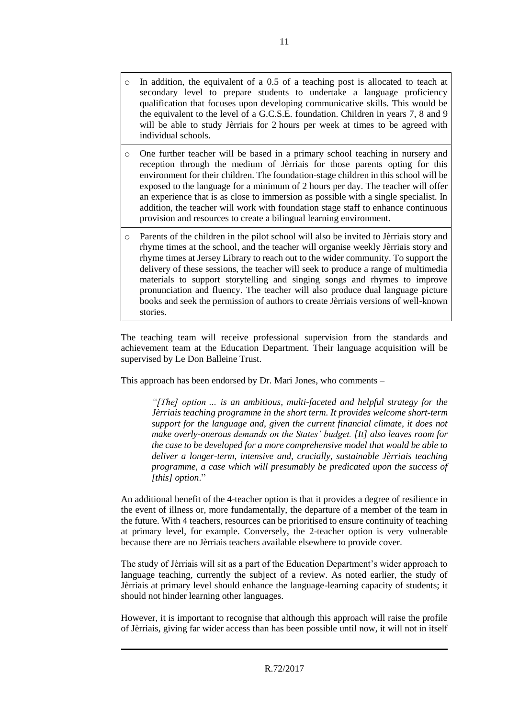- o In addition, the equivalent of a 0.5 of a teaching post is allocated to teach at secondary level to prepare students to undertake a language proficiency qualification that focuses upon developing communicative skills. This would be the equivalent to the level of a G.C.S.E. foundation. Children in years 7, 8 and 9 will be able to study Jèrriais for 2 hours per week at times to be agreed with individual schools.
- o One further teacher will be based in a primary school teaching in nursery and reception through the medium of Jèrriais for those parents opting for this environment for their children. The foundation-stage children in this school will be exposed to the language for a minimum of 2 hours per day. The teacher will offer an experience that is as close to immersion as possible with a single specialist. In addition, the teacher will work with foundation stage staff to enhance continuous provision and resources to create a bilingual learning environment.
- o Parents of the children in the pilot school will also be invited to Jèrriais story and rhyme times at the school, and the teacher will organise weekly Jèrriais story and rhyme times at Jersey Library to reach out to the wider community. To support the delivery of these sessions, the teacher will seek to produce a range of multimedia materials to support storytelling and singing songs and rhymes to improve pronunciation and fluency. The teacher will also produce dual language picture books and seek the permission of authors to create Jèrriais versions of well-known stories.

The teaching team will receive professional supervision from the standards and achievement team at the Education Department. Their language acquisition will be supervised by Le Don Balleine Trust.

This approach has been endorsed by Dr. Mari Jones, who comments –

*"[The] option … is an ambitious, multi-faceted and helpful strategy for the Jèrriais teaching programme in the short term. It provides welcome short-term support for the language and, given the current financial climate, it does not make overly-onerous demands on the States' budget. [It] also leaves room for the case to be developed for a more comprehensive model that would be able to deliver a longer-term, intensive and, crucially, sustainable Jèrriais teaching programme, a case which will presumably be predicated upon the success of [this] option*."

An additional benefit of the 4-teacher option is that it provides a degree of resilience in the event of illness or, more fundamentally, the departure of a member of the team in the future. With 4 teachers, resources can be prioritised to ensure continuity of teaching at primary level, for example. Conversely, the 2-teacher option is very vulnerable because there are no Jèrriais teachers available elsewhere to provide cover.

The study of Jèrriais will sit as a part of the Education Department's wider approach to language teaching, currently the subject of a review. As noted earlier, the study of Jèrriais at primary level should enhance the language-learning capacity of students; it should not hinder learning other languages.

However, it is important to recognise that although this approach will raise the profile of Jèrriais, giving far wider access than has been possible until now, it will not in itself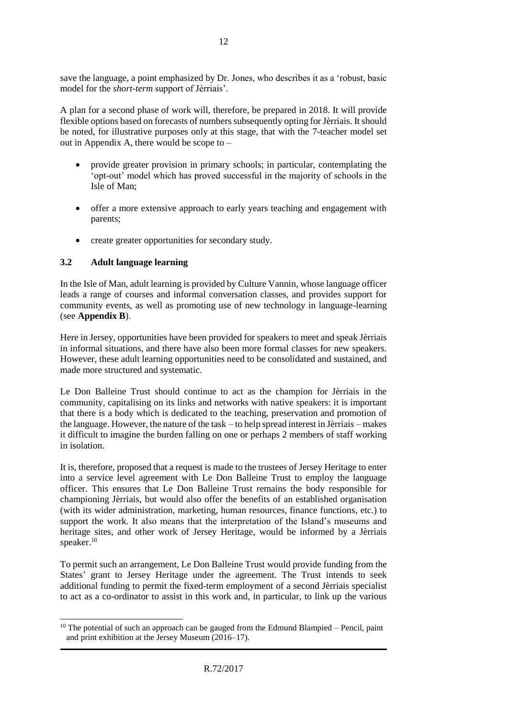save the language, a point emphasized by Dr. Jones, who describes it as a 'robust, basic model for the *short-term* support of Jèrriais'.

A plan for a second phase of work will, therefore, be prepared in 2018. It will provide flexible options based on forecasts of numbers subsequently opting for Jèrriais. It should be noted, for illustrative purposes only at this stage, that with the 7-teacher model set out in Appendix A, there would be scope to –

- provide greater provision in primary schools; in particular, contemplating the 'opt-out' model which has proved successful in the majority of schools in the Isle of Man;
- offer a more extensive approach to early years teaching and engagement with parents;
- create greater opportunities for secondary study.

# **3.2 Adult language learning**

In the Isle of Man, adult learning is provided by Culture Vannin, whose language officer leads a range of courses and informal conversation classes, and provides support for community events, as well as promoting use of new technology in language-learning (see **Appendix B**).

Here in Jersey, opportunities have been provided for speakers to meet and speak Jèrriais in informal situations, and there have also been more formal classes for new speakers. However, these adult learning opportunities need to be consolidated and sustained, and made more structured and systematic.

Le Don Balleine Trust should continue to act as the champion for Jèrriais in the community, capitalising on its links and networks with native speakers: it is important that there is a body which is dedicated to the teaching, preservation and promotion of the language. However, the nature of the task – to help spread interest in Jèrriais – makes it difficult to imagine the burden falling on one or perhaps 2 members of staff working in isolation.

It is, therefore, proposed that a request is made to the trustees of Jersey Heritage to enter into a service level agreement with Le Don Balleine Trust to employ the language officer. This ensures that Le Don Balleine Trust remains the body responsible for championing Jèrriais, but would also offer the benefits of an established organisation (with its wider administration, marketing, human resources, finance functions, etc.) to support the work. It also means that the interpretation of the Island's museums and heritage sites, and other work of Jersey Heritage, would be informed by a Jèrriais speaker.<sup>10</sup>

To permit such an arrangement, Le Don Balleine Trust would provide funding from the States' grant to Jersey Heritage under the agreement. The Trust intends to seek additional funding to permit the fixed-term employment of a second Jèrriais specialist to act as a co-ordinator to assist in this work and, in particular, to link up the various

 $\overline{a}$  $10$  The potential of such an approach can be gauged from the Edmund Blampied – Pencil, paint and print exhibition at the Jersey Museum (2016–17).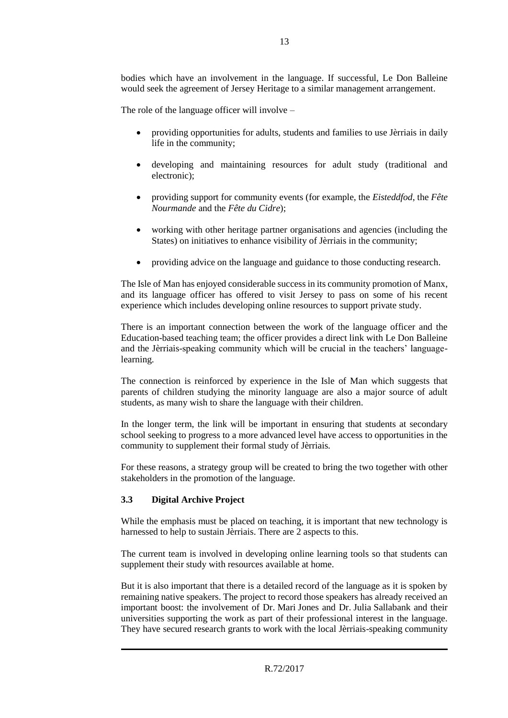bodies which have an involvement in the language. If successful, Le Don Balleine would seek the agreement of Jersey Heritage to a similar management arrangement.

The role of the language officer will involve –

- providing opportunities for adults, students and families to use Jèrriais in daily life in the community;
- developing and maintaining resources for adult study (traditional and electronic);
- providing support for community events (for example, the *Eisteddfod*, the *Fête Nourmande* and the *Fête du Cidre*);
- working with other heritage partner organisations and agencies (including the States) on initiatives to enhance visibility of Jèrriais in the community;
- providing advice on the language and guidance to those conducting research.

The Isle of Man has enjoyed considerable success in its community promotion of Manx, and its language officer has offered to visit Jersey to pass on some of his recent experience which includes developing online resources to support private study.

There is an important connection between the work of the language officer and the Education-based teaching team; the officer provides a direct link with Le Don Balleine and the Jèrriais-speaking community which will be crucial in the teachers' languagelearning.

The connection is reinforced by experience in the Isle of Man which suggests that parents of children studying the minority language are also a major source of adult students, as many wish to share the language with their children.

In the longer term, the link will be important in ensuring that students at secondary school seeking to progress to a more advanced level have access to opportunities in the community to supplement their formal study of Jèrriais.

For these reasons, a strategy group will be created to bring the two together with other stakeholders in the promotion of the language.

#### **3.3 Digital Archive Project**

While the emphasis must be placed on teaching, it is important that new technology is harnessed to help to sustain Jèrriais. There are 2 aspects to this.

The current team is involved in developing online learning tools so that students can supplement their study with resources available at home.

But it is also important that there is a detailed record of the language as it is spoken by remaining native speakers. The project to record those speakers has already received an important boost: the involvement of Dr. Mari Jones and Dr. Julia Sallabank and their universities supporting the work as part of their professional interest in the language. They have secured research grants to work with the local Jèrriais-speaking community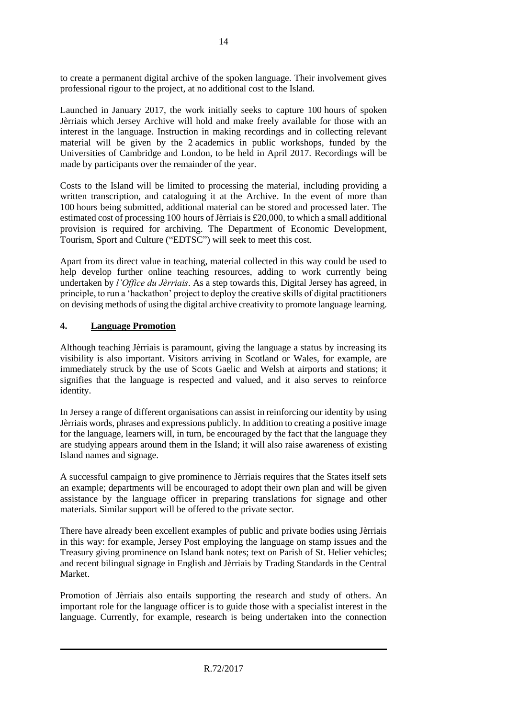to create a permanent digital archive of the spoken language. Their involvement gives professional rigour to the project, at no additional cost to the Island.

Launched in January 2017, the work initially seeks to capture 100 hours of spoken Jèrriais which Jersey Archive will hold and make freely available for those with an interest in the language. Instruction in making recordings and in collecting relevant material will be given by the 2 academics in public workshops, funded by the Universities of Cambridge and London, to be held in April 2017. Recordings will be made by participants over the remainder of the year.

Costs to the Island will be limited to processing the material, including providing a written transcription, and cataloguing it at the Archive. In the event of more than 100 hours being submitted, additional material can be stored and processed later. The estimated cost of processing 100 hours of Jèrriais is £20,000, to which a small additional provision is required for archiving. The Department of Economic Development, Tourism, Sport and Culture ("EDTSC") will seek to meet this cost.

Apart from its direct value in teaching, material collected in this way could be used to help develop further online teaching resources, adding to work currently being undertaken by *l'Office du Jèrriais*. As a step towards this, Digital Jersey has agreed, in principle, to run a 'hackathon' project to deploy the creative skills of digital practitioners on devising methods of using the digital archive creativity to promote language learning.

#### **4. Language Promotion**

Although teaching Jèrriais is paramount, giving the language a status by increasing its visibility is also important. Visitors arriving in Scotland or Wales, for example, are immediately struck by the use of Scots Gaelic and Welsh at airports and stations; it signifies that the language is respected and valued, and it also serves to reinforce identity.

In Jersey a range of different organisations can assist in reinforcing our identity by using Jèrriais words, phrases and expressions publicly. In addition to creating a positive image for the language, learners will, in turn, be encouraged by the fact that the language they are studying appears around them in the Island; it will also raise awareness of existing Island names and signage.

A successful campaign to give prominence to Jèrriais requires that the States itself sets an example; departments will be encouraged to adopt their own plan and will be given assistance by the language officer in preparing translations for signage and other materials. Similar support will be offered to the private sector.

There have already been excellent examples of public and private bodies using Jèrriais in this way: for example, Jersey Post employing the language on stamp issues and the Treasury giving prominence on Island bank notes; text on Parish of St. Helier vehicles; and recent bilingual signage in English and Jèrriais by Trading Standards in the Central Market.

Promotion of Jèrriais also entails supporting the research and study of others. An important role for the language officer is to guide those with a specialist interest in the language. Currently, for example, research is being undertaken into the connection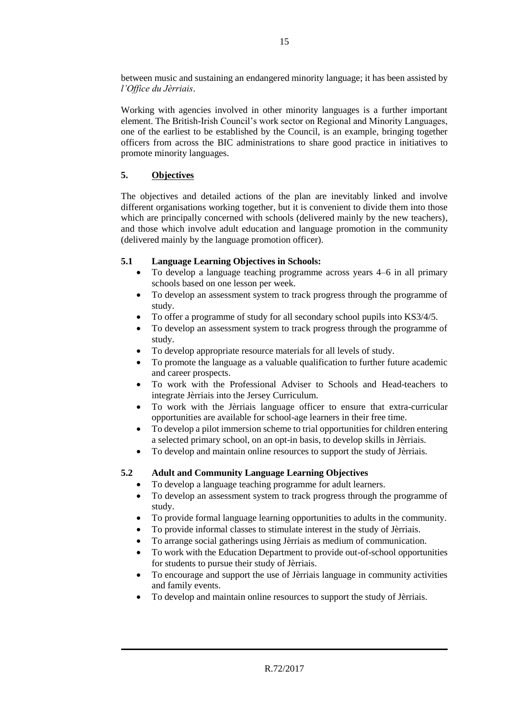between music and sustaining an endangered minority language; it has been assisted by *l'Office du Jèrriais*.

Working with agencies involved in other minority languages is a further important element. The British-Irish Council's work sector on Regional and Minority Languages, one of the earliest to be established by the Council, is an example, bringing together officers from across the BIC administrations to share good practice in initiatives to promote minority languages.

# **5. Objectives**

The objectives and detailed actions of the plan are inevitably linked and involve different organisations working together, but it is convenient to divide them into those which are principally concerned with schools (delivered mainly by the new teachers), and those which involve adult education and language promotion in the community (delivered mainly by the language promotion officer).

# **5.1 Language Learning Objectives in Schools:**

- To develop a language teaching programme across years 4–6 in all primary schools based on one lesson per week.
- To develop an assessment system to track progress through the programme of study.
- To offer a programme of study for all secondary school pupils into KS3/4/5.
- To develop an assessment system to track progress through the programme of study.
- To develop appropriate resource materials for all levels of study.
- To promote the language as a valuable qualification to further future academic and career prospects.
- To work with the Professional Adviser to Schools and Head-teachers to integrate Jèrriais into the Jersey Curriculum.
- To work with the Jèrriais language officer to ensure that extra-curricular opportunities are available for school-age learners in their free time.
- To develop a pilot immersion scheme to trial opportunities for children entering a selected primary school, on an opt-in basis, to develop skills in Jèrriais.
- To develop and maintain online resources to support the study of Jèrriais.

# **5.2 Adult and Community Language Learning Objectives**

- To develop a language teaching programme for adult learners.
- To develop an assessment system to track progress through the programme of study.
- To provide formal language learning opportunities to adults in the community.
- To provide informal classes to stimulate interest in the study of Jèrriais.
- To arrange social gatherings using Jèrriais as medium of communication.
- To work with the Education Department to provide out-of-school opportunities for students to pursue their study of Jèrriais.
- To encourage and support the use of Jèrriais language in community activities and family events.
- To develop and maintain online resources to support the study of Jèrriais.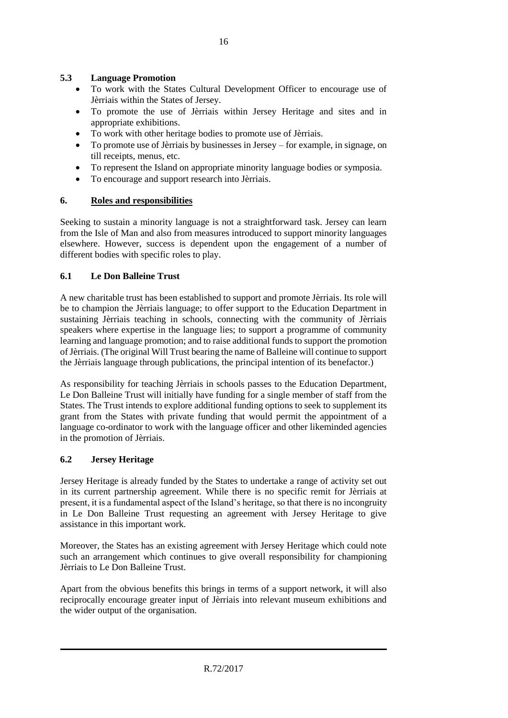### **5.3 Language Promotion**

- To work with the States Cultural Development Officer to encourage use of Jèrriais within the States of Jersey.
- To promote the use of Jèrriais within Jersey Heritage and sites and in appropriate exhibitions.
- To work with other heritage bodies to promote use of Jèrriais.
- To promote use of Jèrriais by businesses in Jersey for example, in signage, on till receipts, menus, etc.
- To represent the Island on appropriate minority language bodies or symposia.
- To encourage and support research into Jèrriais.

# **6. Roles and responsibilities**

Seeking to sustain a minority language is not a straightforward task. Jersey can learn from the Isle of Man and also from measures introduced to support minority languages elsewhere. However, success is dependent upon the engagement of a number of different bodies with specific roles to play.

# **6.1 Le Don Balleine Trust**

A new charitable trust has been established to support and promote Jèrriais. Its role will be to champion the Jèrriais language; to offer support to the Education Department in sustaining Jèrriais teaching in schools, connecting with the community of Jèrriais speakers where expertise in the language lies; to support a programme of community learning and language promotion; and to raise additional funds to support the promotion of Jèrriais. (The original Will Trust bearing the name of Balleine will continue to support the Jèrriais language through publications, the principal intention of its benefactor.)

As responsibility for teaching Jèrriais in schools passes to the Education Department, Le Don Balleine Trust will initially have funding for a single member of staff from the States. The Trust intends to explore additional funding options to seek to supplement its grant from the States with private funding that would permit the appointment of a language co-ordinator to work with the language officer and other likeminded agencies in the promotion of Jèrriais.

#### **6.2 Jersey Heritage**

Jersey Heritage is already funded by the States to undertake a range of activity set out in its current partnership agreement. While there is no specific remit for Jèrriais at present, it is a fundamental aspect of the Island's heritage, so that there is no incongruity in Le Don Balleine Trust requesting an agreement with Jersey Heritage to give assistance in this important work.

Moreover, the States has an existing agreement with Jersey Heritage which could note such an arrangement which continues to give overall responsibility for championing Jèrriais to Le Don Balleine Trust.

Apart from the obvious benefits this brings in terms of a support network, it will also reciprocally encourage greater input of Jèrriais into relevant museum exhibitions and the wider output of the organisation.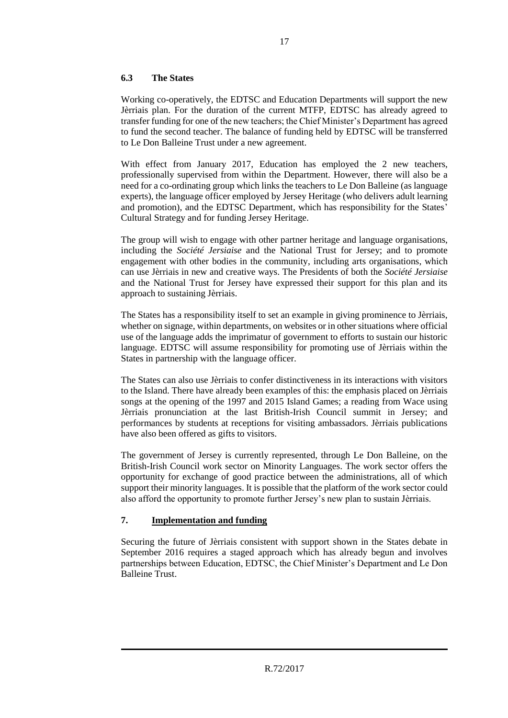### **6.3 The States**

Working co-operatively, the EDTSC and Education Departments will support the new Jèrriais plan. For the duration of the current MTFP, EDTSC has already agreed to transfer funding for one of the new teachers; the Chief Minister's Department has agreed to fund the second teacher. The balance of funding held by EDTSC will be transferred to Le Don Balleine Trust under a new agreement.

With effect from January 2017, Education has employed the 2 new teachers, professionally supervised from within the Department. However, there will also be a need for a co-ordinating group which links the teachers to Le Don Balleine (as language experts), the language officer employed by Jersey Heritage (who delivers adult learning and promotion), and the EDTSC Department, which has responsibility for the States' Cultural Strategy and for funding Jersey Heritage.

The group will wish to engage with other partner heritage and language organisations, including the *Société Jersiaise* and the National Trust for Jersey; and to promote engagement with other bodies in the community, including arts organisations, which can use Jèrriais in new and creative ways. The Presidents of both the *Société Jersiaise* and the National Trust for Jersey have expressed their support for this plan and its approach to sustaining Jèrriais.

The States has a responsibility itself to set an example in giving prominence to Jèrriais, whether on signage, within departments, on websites or in other situations where official use of the language adds the imprimatur of government to efforts to sustain our historic language. EDTSC will assume responsibility for promoting use of Jèrriais within the States in partnership with the language officer.

The States can also use Jèrriais to confer distinctiveness in its interactions with visitors to the Island. There have already been examples of this: the emphasis placed on Jèrriais songs at the opening of the 1997 and 2015 Island Games; a reading from Wace using Jèrriais pronunciation at the last British-Irish Council summit in Jersey; and performances by students at receptions for visiting ambassadors. Jèrriais publications have also been offered as gifts to visitors.

The government of Jersey is currently represented, through Le Don Balleine, on the British-Irish Council work sector on Minority Languages. The work sector offers the opportunity for exchange of good practice between the administrations, all of which support their minority languages. It is possible that the platform of the work sector could also afford the opportunity to promote further Jersey's new plan to sustain Jèrriais.

# **7. Implementation and funding**

Securing the future of Jèrriais consistent with support shown in the States debate in September 2016 requires a staged approach which has already begun and involves partnerships between Education, EDTSC, the Chief Minister's Department and Le Don Balleine Trust.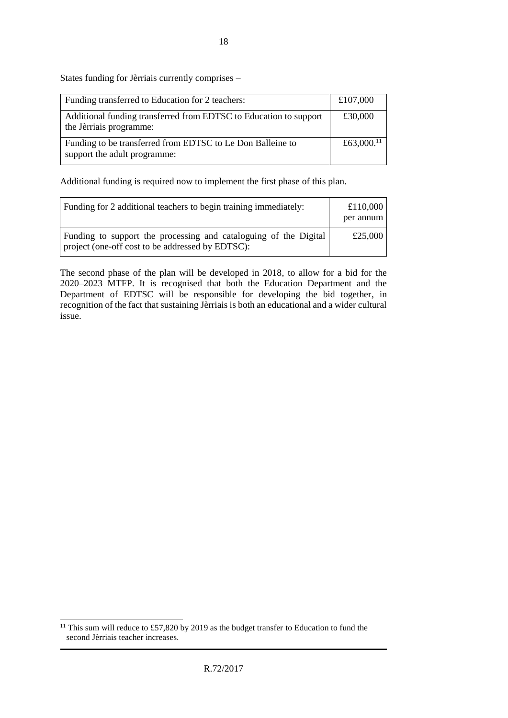States funding for Jèrriais currently comprises –

| Funding transferred to Education for 2 teachers:                                             | £107,000               |
|----------------------------------------------------------------------------------------------|------------------------|
| Additional funding transferred from EDTSC to Education to support<br>the Jèrriais programme: | £30,000                |
| Funding to be transferred from EDTSC to Le Don Balleine to<br>support the adult programme:   | £63,000. <sup>11</sup> |

Additional funding is required now to implement the first phase of this plan.

| Funding for 2 additional teachers to begin training immediately:                                                     | £110,000<br>per annum |
|----------------------------------------------------------------------------------------------------------------------|-----------------------|
| Funding to support the processing and cataloguing of the Digital<br>project (one-off cost to be addressed by EDTSC): | £25,000               |

The second phase of the plan will be developed in 2018, to allow for a bid for the 2020–2023 MTFP. It is recognised that both the Education Department and the Department of EDTSC will be responsible for developing the bid together, in recognition of the fact that sustaining Jèrriais is both an educational and a wider cultural issue.

 $\overline{a}$ <sup>11</sup> This sum will reduce to £57,820 by 2019 as the budget transfer to Education to fund the second Jèrriais teacher increases.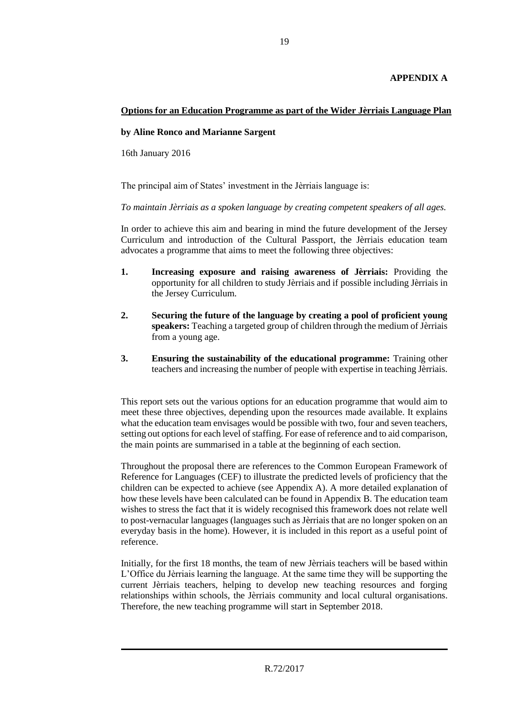### **APPENDIX A**

# **Options for an Education Programme as part of the Wider Jèrriais Language Plan**

#### **by Aline Ronco and Marianne Sargent**

16th January 2016

The principal aim of States' investment in the Jèrriais language is:

*To maintain Jèrriais as a spoken language by creating competent speakers of all ages.*

In order to achieve this aim and bearing in mind the future development of the Jersey Curriculum and introduction of the Cultural Passport, the Jèrriais education team advocates a programme that aims to meet the following three objectives:

- **1. Increasing exposure and raising awareness of Jèrriais:** Providing the opportunity for all children to study Jèrriais and if possible including Jèrriais in the Jersey Curriculum.
- **2. Securing the future of the language by creating a pool of proficient young speakers:** Teaching a targeted group of children through the medium of Jèrriais from a young age.
- **3. Ensuring the sustainability of the educational programme:** Training other teachers and increasing the number of people with expertise in teaching Jèrriais.

This report sets out the various options for an education programme that would aim to meet these three objectives, depending upon the resources made available. It explains what the education team envisages would be possible with two, four and seven teachers, setting out options for each level of staffing. For ease of reference and to aid comparison, the main points are summarised in a table at the beginning of each section.

Throughout the proposal there are references to the Common European Framework of Reference for Languages (CEF) to illustrate the predicted levels of proficiency that the children can be expected to achieve (see Appendix A). A more detailed explanation of how these levels have been calculated can be found in Appendix B. The education team wishes to stress the fact that it is widely recognised this framework does not relate well to post-vernacular languages (languages such as Jèrriais that are no longer spoken on an everyday basis in the home). However, it is included in this report as a useful point of reference.

Initially, for the first 18 months, the team of new Jèrriais teachers will be based within L'Office du Jèrriais learning the language. At the same time they will be supporting the current Jèrriais teachers, helping to develop new teaching resources and forging relationships within schools, the Jèrriais community and local cultural organisations. Therefore, the new teaching programme will start in September 2018.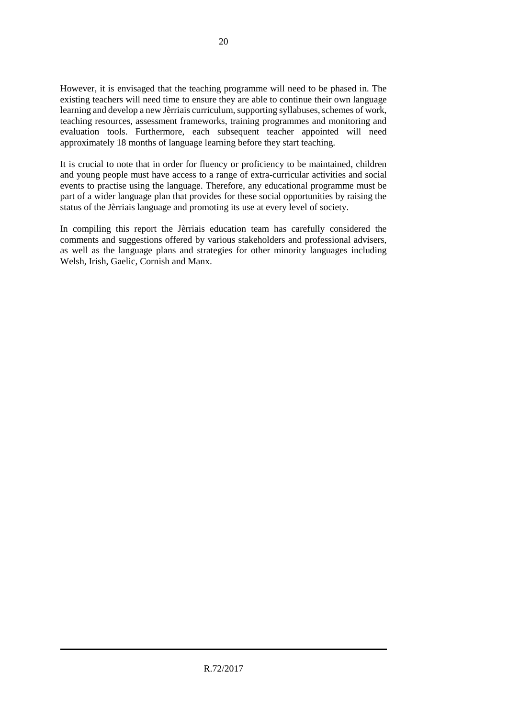However, it is envisaged that the teaching programme will need to be phased in. The existing teachers will need time to ensure they are able to continue their own language learning and develop a new Jèrriais curriculum, supporting syllabuses, schemes of work, teaching resources, assessment frameworks, training programmes and monitoring and evaluation tools. Furthermore, each subsequent teacher appointed will need approximately 18 months of language learning before they start teaching.

It is crucial to note that in order for fluency or proficiency to be maintained, children and young people must have access to a range of extra-curricular activities and social events to practise using the language. Therefore, any educational programme must be part of a wider language plan that provides for these social opportunities by raising the status of the Jèrriais language and promoting its use at every level of society.

In compiling this report the Jèrriais education team has carefully considered the comments and suggestions offered by various stakeholders and professional advisers, as well as the language plans and strategies for other minority languages including Welsh, Irish, Gaelic, Cornish and Manx.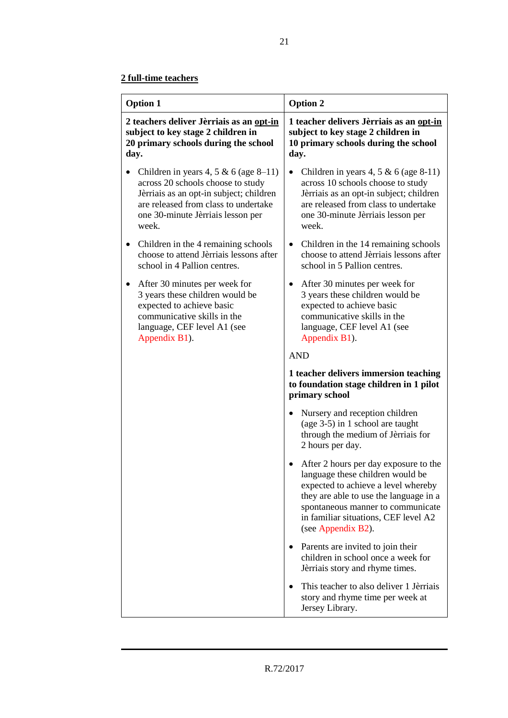| <b>Option 1</b>                                                                                                                                                                                                | <b>Option 2</b>                                                                                                                                                                                                                                                            |  |
|----------------------------------------------------------------------------------------------------------------------------------------------------------------------------------------------------------------|----------------------------------------------------------------------------------------------------------------------------------------------------------------------------------------------------------------------------------------------------------------------------|--|
| 2 teachers deliver Jèrriais as an opt-in<br>subject to key stage 2 children in<br>20 primary schools during the school<br>day.                                                                                 | 1 teacher delivers Jèrriais as an opt-in<br>subject to key stage 2 children in<br>10 primary schools during the school<br>day.                                                                                                                                             |  |
| Children in years 4, 5 & 6 (age $8-11$ )<br>across 20 schools choose to study<br>Jèrriais as an opt-in subject; children<br>are released from class to undertake<br>one 30-minute Jèrriais lesson per<br>week. | Children in years 4, 5 & 6 (age 8-11)<br>$\bullet$<br>across 10 schools choose to study<br>Jèrriais as an opt-in subject; children<br>are released from class to undertake<br>one 30-minute Jèrriais lesson per<br>week.                                                   |  |
| Children in the 4 remaining schools<br>choose to attend Jèrriais lessons after<br>school in 4 Pallion centres.                                                                                                 | Children in the 14 remaining schools<br>$\bullet$<br>choose to attend Jèrriais lessons after<br>school in 5 Pallion centres.                                                                                                                                               |  |
| After 30 minutes per week for<br>٠<br>3 years these children would be<br>expected to achieve basic<br>communicative skills in the<br>language, CEF level A1 (see<br>Appendix B1).                              | After 30 minutes per week for<br>$\bullet$<br>3 years these children would be<br>expected to achieve basic<br>communicative skills in the<br>language, CEF level A1 (see<br>Appendix B1).                                                                                  |  |
|                                                                                                                                                                                                                | <b>AND</b>                                                                                                                                                                                                                                                                 |  |
|                                                                                                                                                                                                                | 1 teacher delivers immersion teaching<br>to foundation stage children in 1 pilot<br>primary school                                                                                                                                                                         |  |
|                                                                                                                                                                                                                | Nursery and reception children<br>(age $3-5$ ) in 1 school are taught<br>through the medium of Jèrriais for<br>2 hours per day.                                                                                                                                            |  |
|                                                                                                                                                                                                                | After 2 hours per day exposure to the<br>$\bullet$<br>language these children would be<br>expected to achieve a level whereby<br>they are able to use the language in a<br>spontaneous manner to communicate<br>in familiar situations, CEF level A2<br>(see Appendix B2). |  |
|                                                                                                                                                                                                                | Parents are invited to join their<br>$\bullet$<br>children in school once a week for<br>Jèrriais story and rhyme times.                                                                                                                                                    |  |
|                                                                                                                                                                                                                | This teacher to also deliver 1 Jèrriais<br>story and rhyme time per week at<br>Jersey Library.                                                                                                                                                                             |  |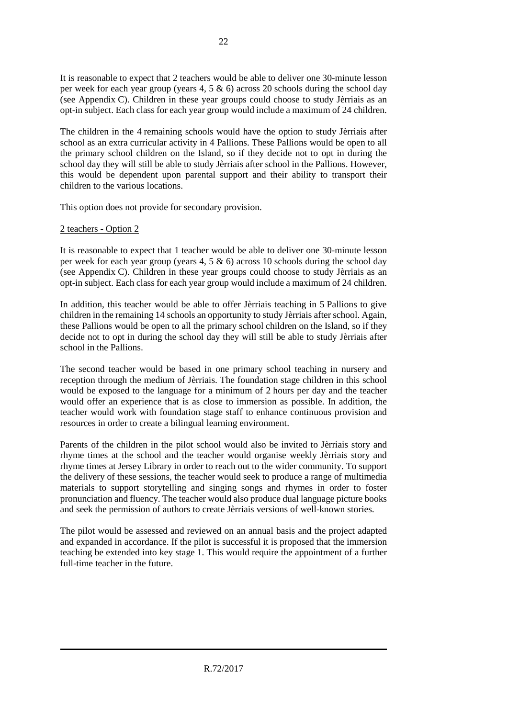It is reasonable to expect that 2 teachers would be able to deliver one 30-minute lesson per week for each year group (years 4, 5 & 6) across 20 schools during the school day (see Appendix C). Children in these year groups could choose to study Jèrriais as an opt-in subject. Each class for each year group would include a maximum of 24 children.

The children in the 4 remaining schools would have the option to study Jèrriais after school as an extra curricular activity in 4 Pallions. These Pallions would be open to all the primary school children on the Island, so if they decide not to opt in during the school day they will still be able to study Jèrriais after school in the Pallions. However, this would be dependent upon parental support and their ability to transport their children to the various locations.

This option does not provide for secondary provision.

#### 2 teachers - Option 2

It is reasonable to expect that 1 teacher would be able to deliver one 30-minute lesson per week for each year group (years 4,  $5 \& 6$ ) across 10 schools during the school day (see Appendix C). Children in these year groups could choose to study Jèrriais as an opt-in subject. Each class for each year group would include a maximum of 24 children.

In addition, this teacher would be able to offer Jèrriais teaching in 5 Pallions to give children in the remaining 14 schools an opportunity to study Jèrriais after school. Again, these Pallions would be open to all the primary school children on the Island, so if they decide not to opt in during the school day they will still be able to study Jèrriais after school in the Pallions.

The second teacher would be based in one primary school teaching in nursery and reception through the medium of Jèrriais. The foundation stage children in this school would be exposed to the language for a minimum of 2 hours per day and the teacher would offer an experience that is as close to immersion as possible. In addition, the teacher would work with foundation stage staff to enhance continuous provision and resources in order to create a bilingual learning environment.

Parents of the children in the pilot school would also be invited to Jèrriais story and rhyme times at the school and the teacher would organise weekly Jèrriais story and rhyme times at Jersey Library in order to reach out to the wider community. To support the delivery of these sessions, the teacher would seek to produce a range of multimedia materials to support storytelling and singing songs and rhymes in order to foster pronunciation and fluency. The teacher would also produce dual language picture books and seek the permission of authors to create Jèrriais versions of well-known stories.

The pilot would be assessed and reviewed on an annual basis and the project adapted and expanded in accordance. If the pilot is successful it is proposed that the immersion teaching be extended into key stage 1. This would require the appointment of a further full-time teacher in the future.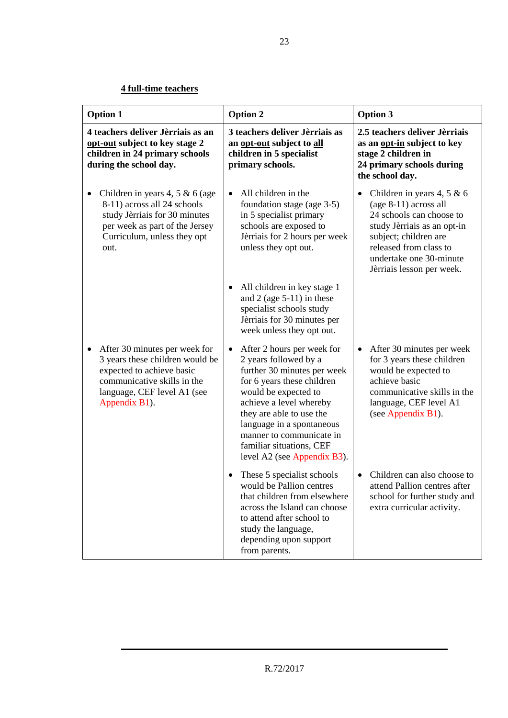# **4 full-time teachers**

| <b>Option 1</b>                                                                                                                                                                   | Option 2                                                                                                                                                                                                                                                                                                                         | <b>Option 3</b>                                                                                                                                                                                                             |
|-----------------------------------------------------------------------------------------------------------------------------------------------------------------------------------|----------------------------------------------------------------------------------------------------------------------------------------------------------------------------------------------------------------------------------------------------------------------------------------------------------------------------------|-----------------------------------------------------------------------------------------------------------------------------------------------------------------------------------------------------------------------------|
| 4 teachers deliver Jèrriais as an<br>opt-out subject to key stage 2<br>children in 24 primary schools<br>during the school day.                                                   | 3 teachers deliver Jèrriais as<br>an opt-out subject to all<br>children in 5 specialist<br>primary schools.                                                                                                                                                                                                                      | 2.5 teachers deliver Jèrriais<br>as an opt-in subject to key<br>stage 2 children in<br>24 primary schools during<br>the school day.                                                                                         |
| Children in years 4, 5 & 6 (age<br>8-11) across all 24 schools<br>study Jèrriais for 30 minutes<br>per week as part of the Jersey<br>Curriculum, unless they opt<br>out.          | All children in the<br>$\bullet$<br>foundation stage (age 3-5)<br>in 5 specialist primary<br>schools are exposed to<br>Jèrriais for 2 hours per week<br>unless they opt out.                                                                                                                                                     | Children in years 4, 5 & 6<br>$(age 8-11) across all$<br>24 schools can choose to<br>study Jèrriais as an opt-in<br>subject; children are<br>released from class to<br>undertake one 30-minute<br>Jèrriais lesson per week. |
|                                                                                                                                                                                   | All children in key stage 1<br>$\bullet$<br>and $2$ (age 5-11) in these<br>specialist schools study<br>Jèrriais for 30 minutes per<br>week unless they opt out.                                                                                                                                                                  |                                                                                                                                                                                                                             |
| After 30 minutes per week for<br>٠<br>3 years these children would be<br>expected to achieve basic<br>communicative skills in the<br>language, CEF level A1 (see<br>Appendix B1). | After 2 hours per week for<br>$\bullet$<br>2 years followed by a<br>further 30 minutes per week<br>for 6 years these children<br>would be expected to<br>achieve a level whereby<br>they are able to use the<br>language in a spontaneous<br>manner to communicate in<br>familiar situations, CEF<br>level A2 (see Appendix B3). | After 30 minutes per week<br>$\bullet$<br>for 3 years these children<br>would be expected to<br>achieve basic<br>communicative skills in the<br>language, CEF level A1<br>(see Appendix B1).                                |
|                                                                                                                                                                                   | These 5 specialist schools<br>would be Pallion centres<br>that children from elsewhere<br>across the Island can choose<br>to attend after school to<br>study the language,<br>depending upon support<br>from parents.                                                                                                            | Children can also choose to<br>attend Pallion centres after<br>school for further study and<br>extra curricular activity.                                                                                                   |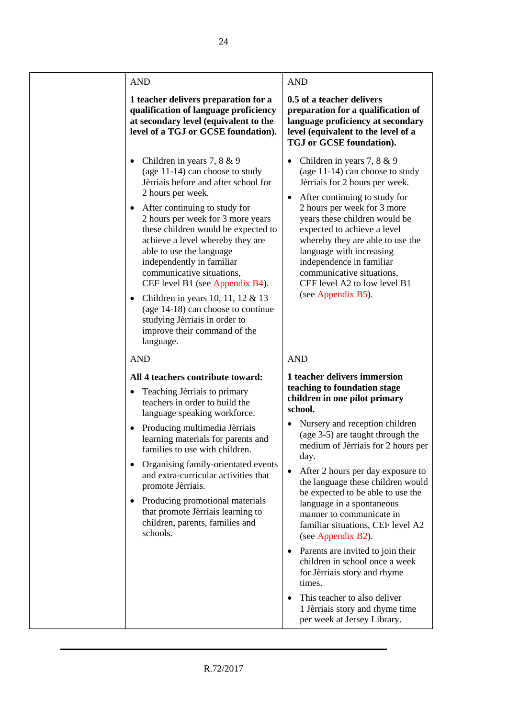# AND AND

#### **1 teacher delivers preparation for a qualification of language proficiency at secondary level (equivalent to the level of a TGJ or GCSE foundation).**

- Children in years  $7, 8 \& 9$ (age 11-14) can choose to study Jèrriais before and after school for 2 hours per week.
- After continuing to study for 2 hours per week for 3 more years these children would be expected to achieve a level whereby they are able to use the language independently in familiar communicative situations, CEF level B1 (see Appendix B4).
- Children in years 10, 11, 12  $& 13$ (age 14-18) can choose to continue studying Jèrriais in order to improve their command of the language.

### AND AND

#### **All 4 teachers contribute toward:**

- Teaching Jèrriais to primary teachers in order to build the language speaking workforce.
- Producing multimedia Jèrriais learning materials for parents and families to use with children.
- Organising family-orientated events and extra-curricular activities that promote Jèrriais.
- Producing promotional materials that promote Jèrriais learning to children, parents, families and schools.

**0.5 of a teacher delivers preparation for a qualification of language proficiency at secondary level (equivalent to the level of a TGJ or GCSE foundation).**

- Children in years  $7, 8 \& 9$ (age 11-14) can choose to study Jèrriais for 2 hours per week.
- After continuing to study for 2 hours per week for 3 more years these children would be expected to achieve a level whereby they are able to use the language with increasing independence in familiar communicative situations, CEF level A2 to low level B1 (see Appendix B5).

#### **1 teacher delivers immersion teaching to foundation stage children in one pilot primary school.**

- Nursery and reception children (age 3-5) are taught through the medium of Jèrriais for 2 hours per day.
- After 2 hours per day exposure to the language these children would be expected to be able to use the language in a spontaneous manner to communicate in familiar situations, CEF level A2 (see Appendix B2).
- Parents are invited to join their children in school once a week for Jèrriais story and rhyme times.
- This teacher to also deliver 1 Jèrriais story and rhyme time per week at Jersey Library.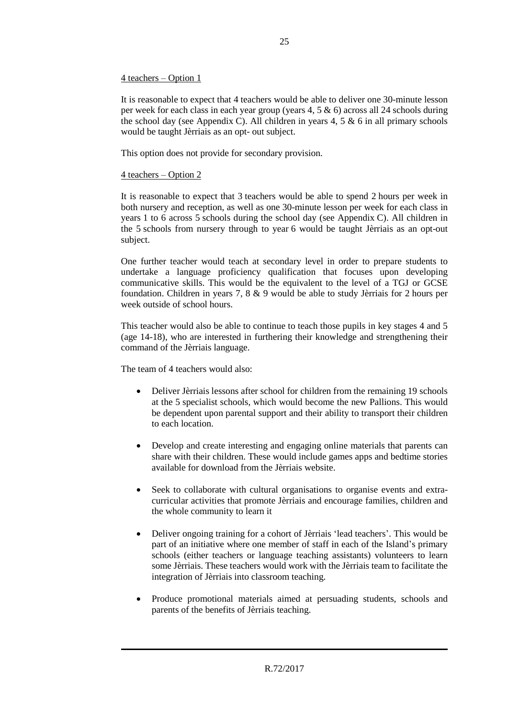#### 4 teachers – Option 1

It is reasonable to expect that 4 teachers would be able to deliver one 30-minute lesson per week for each class in each year group (years 4, 5 & 6) across all 24 schools during the school day (see Appendix C). All children in years  $4, 5 \& 6$  in all primary schools would be taught Jèrriais as an opt- out subject.

This option does not provide for secondary provision.

#### 4 teachers – Option 2

It is reasonable to expect that 3 teachers would be able to spend 2 hours per week in both nursery and reception, as well as one 30-minute lesson per week for each class in years 1 to 6 across 5 schools during the school day (see Appendix C). All children in the 5 schools from nursery through to year 6 would be taught Jèrriais as an opt-out subject.

One further teacher would teach at secondary level in order to prepare students to undertake a language proficiency qualification that focuses upon developing communicative skills. This would be the equivalent to the level of a TGJ or GCSE foundation. Children in years 7, 8 & 9 would be able to study Jèrriais for 2 hours per week outside of school hours.

This teacher would also be able to continue to teach those pupils in key stages 4 and 5 (age 14-18), who are interested in furthering their knowledge and strengthening their command of the Jèrriais language.

The team of 4 teachers would also:

- Deliver Jèrriais lessons after school for children from the remaining 19 schools at the 5 specialist schools, which would become the new Pallions. This would be dependent upon parental support and their ability to transport their children to each location.
- Develop and create interesting and engaging online materials that parents can share with their children. These would include games apps and bedtime stories available for download from the Jèrriais website.
- Seek to collaborate with cultural organisations to organise events and extracurricular activities that promote Jèrriais and encourage families, children and the whole community to learn it
- Deliver ongoing training for a cohort of Jèrriais 'lead teachers'. This would be part of an initiative where one member of staff in each of the Island's primary schools (either teachers or language teaching assistants) volunteers to learn some Jèrriais. These teachers would work with the Jèrriais team to facilitate the integration of Jèrriais into classroom teaching.
- Produce promotional materials aimed at persuading students, schools and parents of the benefits of Jèrriais teaching.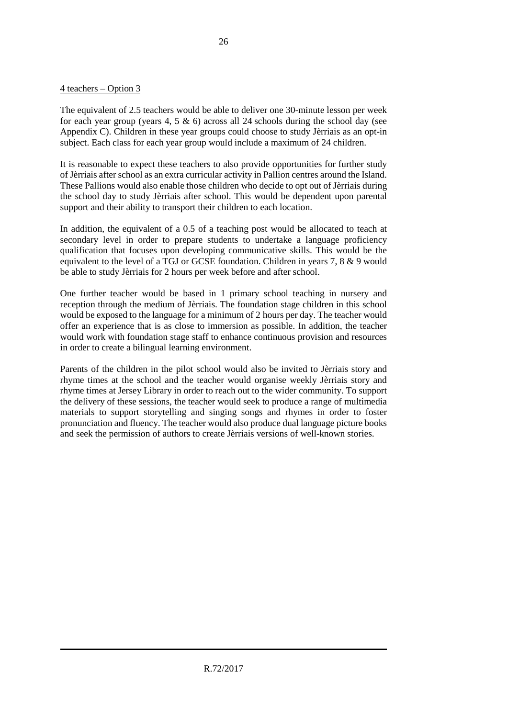#### 4 teachers – Option 3

The equivalent of 2.5 teachers would be able to deliver one 30-minute lesson per week for each year group (years 4, 5  $\&$  6) across all 24 schools during the school day (see Appendix C). Children in these year groups could choose to study Jèrriais as an opt-in subject. Each class for each year group would include a maximum of 24 children.

It is reasonable to expect these teachers to also provide opportunities for further study of Jèrriais after school as an extra curricular activity in Pallion centres around the Island. These Pallions would also enable those children who decide to opt out of Jèrriais during the school day to study Jèrriais after school. This would be dependent upon parental support and their ability to transport their children to each location.

In addition, the equivalent of a 0.5 of a teaching post would be allocated to teach at secondary level in order to prepare students to undertake a language proficiency qualification that focuses upon developing communicative skills. This would be the equivalent to the level of a TGJ or GCSE foundation. Children in years 7, 8 & 9 would be able to study Jèrriais for 2 hours per week before and after school.

One further teacher would be based in 1 primary school teaching in nursery and reception through the medium of Jèrriais. The foundation stage children in this school would be exposed to the language for a minimum of 2 hours per day. The teacher would offer an experience that is as close to immersion as possible. In addition, the teacher would work with foundation stage staff to enhance continuous provision and resources in order to create a bilingual learning environment.

Parents of the children in the pilot school would also be invited to Jèrriais story and rhyme times at the school and the teacher would organise weekly Jèrriais story and rhyme times at Jersey Library in order to reach out to the wider community. To support the delivery of these sessions, the teacher would seek to produce a range of multimedia materials to support storytelling and singing songs and rhymes in order to foster pronunciation and fluency. The teacher would also produce dual language picture books and seek the permission of authors to create Jèrriais versions of well-known stories.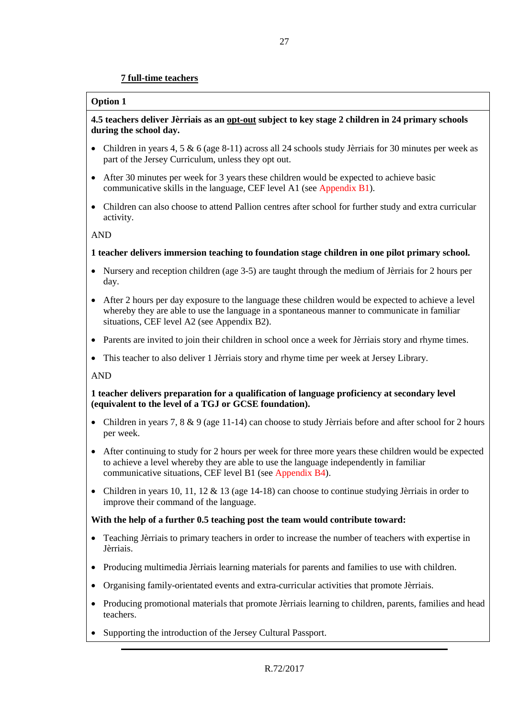#### **7 full-time teachers**

#### **Option 1**

#### **4.5 teachers deliver Jèrriais as an opt-out subject to key stage 2 children in 24 primary schools during the school day.**

- Children in years 4, 5 & 6 (age 8-11) across all 24 schools study Jèrriais for 30 minutes per week as part of the Jersey Curriculum, unless they opt out.
- After 30 minutes per week for 3 years these children would be expected to achieve basic communicative skills in the language, CEF level A1 (see Appendix B1).
- Children can also choose to attend Pallion centres after school for further study and extra curricular activity.

AND

#### **1 teacher delivers immersion teaching to foundation stage children in one pilot primary school.**

- Nursery and reception children (age 3-5) are taught through the medium of Jèrriais for 2 hours per day.
- After 2 hours per day exposure to the language these children would be expected to achieve a level whereby they are able to use the language in a spontaneous manner to communicate in familiar situations, CEF level A2 (see Appendix B2).
- Parents are invited to join their children in school once a week for Jèrriais story and rhyme times.
- This teacher to also deliver 1 Jèrriais story and rhyme time per week at Jersey Library.

AND

#### **1 teacher delivers preparation for a qualification of language proficiency at secondary level (equivalent to the level of a TGJ or GCSE foundation).**

- Children in years 7,  $8 \& 9$  (age 11-14) can choose to study Jèrriais before and after school for 2 hours per week.
- After continuing to study for 2 hours per week for three more years these children would be expected to achieve a level whereby they are able to use the language independently in familiar communicative situations, CEF level B1 (see Appendix B4).
- Children in years 10, 11, 12 & 13 (age  $14-18$ ) can choose to continue studying Jèrriais in order to improve their command of the language.

#### **With the help of a further 0.5 teaching post the team would contribute toward:**

- Teaching Jèrriais to primary teachers in order to increase the number of teachers with expertise in Jèrriais.
- Producing multimedia Jèrriais learning materials for parents and families to use with children.
- Organising family-orientated events and extra-curricular activities that promote Jèrriais.
- Producing promotional materials that promote Jèrriais learning to children, parents, families and head teachers.
- Supporting the introduction of the Jersey Cultural Passport.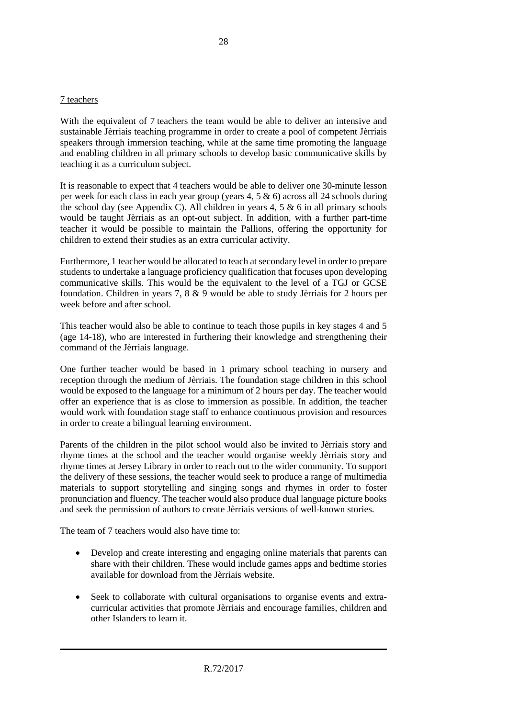#### 7 teachers

With the equivalent of 7 teachers the team would be able to deliver an intensive and sustainable Jèrriais teaching programme in order to create a pool of competent Jèrriais speakers through immersion teaching, while at the same time promoting the language and enabling children in all primary schools to develop basic communicative skills by teaching it as a curriculum subject.

It is reasonable to expect that 4 teachers would be able to deliver one 30-minute lesson per week for each class in each year group (years 4, 5 & 6) across all 24 schools during the school day (see Appendix C). All children in years  $4, 5 \& 6$  in all primary schools would be taught Jèrriais as an opt-out subject. In addition, with a further part-time teacher it would be possible to maintain the Pallions, offering the opportunity for children to extend their studies as an extra curricular activity.

Furthermore, 1 teacher would be allocated to teach at secondary level in order to prepare students to undertake a language proficiency qualification that focuses upon developing communicative skills. This would be the equivalent to the level of a TGJ or GCSE foundation. Children in years 7, 8 & 9 would be able to study Jèrriais for 2 hours per week before and after school.

This teacher would also be able to continue to teach those pupils in key stages 4 and 5 (age 14-18), who are interested in furthering their knowledge and strengthening their command of the Jèrriais language.

One further teacher would be based in 1 primary school teaching in nursery and reception through the medium of Jèrriais. The foundation stage children in this school would be exposed to the language for a minimum of 2 hours per day. The teacher would offer an experience that is as close to immersion as possible. In addition, the teacher would work with foundation stage staff to enhance continuous provision and resources in order to create a bilingual learning environment.

Parents of the children in the pilot school would also be invited to Jèrriais story and rhyme times at the school and the teacher would organise weekly Jèrriais story and rhyme times at Jersey Library in order to reach out to the wider community. To support the delivery of these sessions, the teacher would seek to produce a range of multimedia materials to support storytelling and singing songs and rhymes in order to foster pronunciation and fluency. The teacher would also produce dual language picture books and seek the permission of authors to create Jèrriais versions of well-known stories.

The team of 7 teachers would also have time to:

- Develop and create interesting and engaging online materials that parents can share with their children. These would include games apps and bedtime stories available for download from the Jèrriais website.
- Seek to collaborate with cultural organisations to organise events and extracurricular activities that promote Jèrriais and encourage families, children and other Islanders to learn it.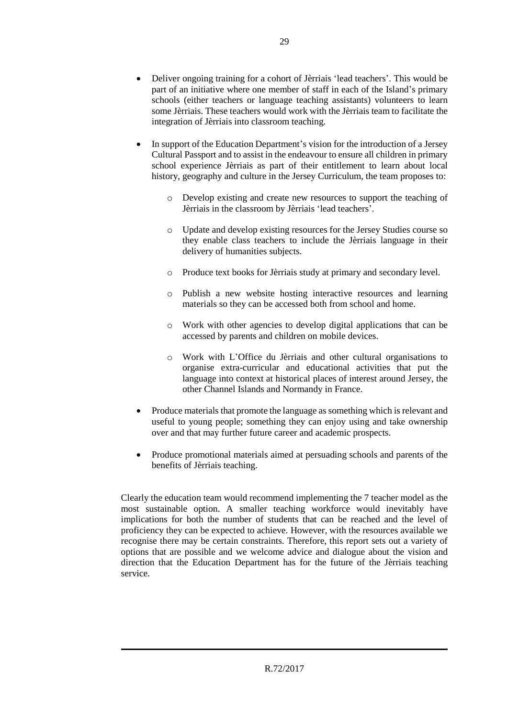- Deliver ongoing training for a cohort of Jèrriais 'lead teachers'. This would be part of an initiative where one member of staff in each of the Island's primary schools (either teachers or language teaching assistants) volunteers to learn some Jèrriais. These teachers would work with the Jèrriais team to facilitate the integration of Jèrriais into classroom teaching.
- In support of the Education Department's vision for the introduction of a Jersey Cultural Passport and to assist in the endeavour to ensure all children in primary school experience Jèrriais as part of their entitlement to learn about local history, geography and culture in the Jersey Curriculum, the team proposes to:
	- o Develop existing and create new resources to support the teaching of Jèrriais in the classroom by Jèrriais 'lead teachers'.
	- o Update and develop existing resources for the Jersey Studies course so they enable class teachers to include the Jèrriais language in their delivery of humanities subjects.
	- o Produce text books for Jèrriais study at primary and secondary level.
	- o Publish a new website hosting interactive resources and learning materials so they can be accessed both from school and home.
	- o Work with other agencies to develop digital applications that can be accessed by parents and children on mobile devices.
	- o Work with L'Office du Jèrriais and other cultural organisations to organise extra-curricular and educational activities that put the language into context at historical places of interest around Jersey, the other Channel Islands and Normandy in France.
- Produce materials that promote the language as something which is relevant and useful to young people; something they can enjoy using and take ownership over and that may further future career and academic prospects.
- Produce promotional materials aimed at persuading schools and parents of the benefits of Jèrriais teaching.

Clearly the education team would recommend implementing the 7 teacher model as the most sustainable option. A smaller teaching workforce would inevitably have implications for both the number of students that can be reached and the level of proficiency they can be expected to achieve. However, with the resources available we recognise there may be certain constraints. Therefore, this report sets out a variety of options that are possible and we welcome advice and dialogue about the vision and direction that the Education Department has for the future of the Jèrriais teaching service.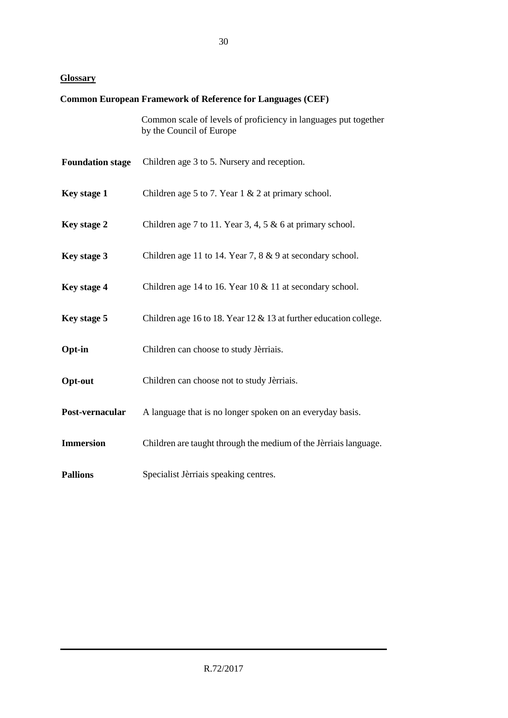# **Glossary**

# **Common European Framework of Reference for Languages (CEF)**

Common scale of levels of proficiency in languages put together by the Council of Europe

| <b>Foundation stage</b> | Children age 3 to 5. Nursery and reception.                         |
|-------------------------|---------------------------------------------------------------------|
| Key stage 1             | Children age 5 to 7. Year $1 \& 2$ at primary school.               |
| Key stage 2             | Children age 7 to 11. Year 3, 4, 5 $\&$ 6 at primary school.        |
| Key stage 3             | Children age 11 to 14. Year 7, $8 \& 9$ at secondary school.        |
| Key stage 4             | Children age 14 to 16. Year 10 $&$ 11 at secondary school.          |
| Key stage 5             | Children age 16 to 18. Year 12 $&$ 13 at further education college. |
| Opt-in                  | Children can choose to study Jèrriais.                              |
| Opt-out                 | Children can choose not to study Jèrriais.                          |
| Post-vernacular         | A language that is no longer spoken on an everyday basis.           |
| <b>Immersion</b>        | Children are taught through the medium of the Jèrriais language.    |
| <b>Pallions</b>         | Specialist Jèrriais speaking centres.                               |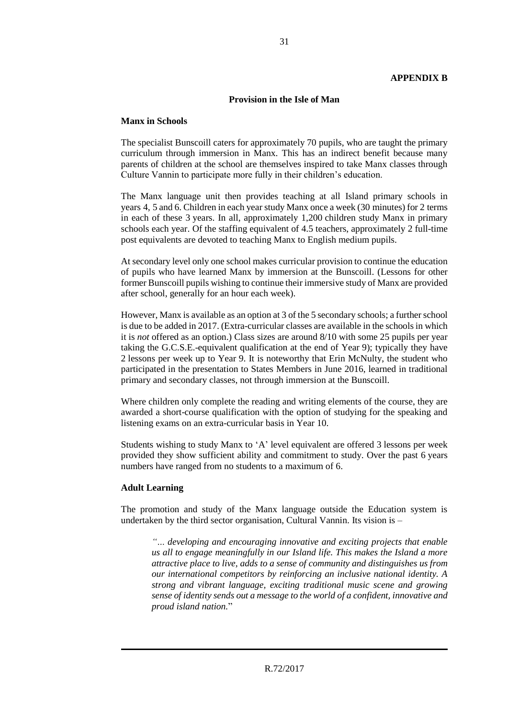#### **Provision in the Isle of Man**

#### **Manx in Schools**

The specialist Bunscoill caters for approximately 70 pupils, who are taught the primary curriculum through immersion in Manx. This has an indirect benefit because many parents of children at the school are themselves inspired to take Manx classes through Culture Vannin to participate more fully in their children's education.

The Manx language unit then provides teaching at all Island primary schools in years 4, 5 and 6. Children in each year study Manx once a week (30 minutes) for 2 terms in each of these 3 years. In all, approximately 1,200 children study Manx in primary schools each year. Of the staffing equivalent of 4.5 teachers, approximately 2 full-time post equivalents are devoted to teaching Manx to English medium pupils.

At secondary level only one school makes curricular provision to continue the education of pupils who have learned Manx by immersion at the Bunscoill. (Lessons for other former Bunscoill pupils wishing to continue their immersive study of Manx are provided after school, generally for an hour each week).

However, Manx is available as an option at 3 of the 5 secondary schools; a further school is due to be added in 2017. (Extra-curricular classes are available in the schools in which it is *not* offered as an option.) Class sizes are around 8/10 with some 25 pupils per year taking the G.C.S.E.-equivalent qualification at the end of Year 9); typically they have 2 lessons per week up to Year 9. It is noteworthy that Erin McNulty, the student who participated in the presentation to States Members in June 2016, learned in traditional primary and secondary classes, not through immersion at the Bunscoill.

Where children only complete the reading and writing elements of the course, they are awarded a short-course qualification with the option of studying for the speaking and listening exams on an extra-curricular basis in Year 10.

Students wishing to study Manx to 'A' level equivalent are offered 3 lessons per week provided they show sufficient ability and commitment to study. Over the past 6 years numbers have ranged from no students to a maximum of 6.

#### **Adult Learning**

The promotion and study of the Manx language outside the Education system is undertaken by the third sector organisation, Cultural Vannin. Its vision is –

*"… developing and encouraging innovative and exciting projects that enable us all to engage meaningfully in our Island life. This makes the Island a more attractive place to live, adds to a sense of community and distinguishes us from our international competitors by reinforcing an inclusive national identity. A strong and vibrant language, exciting traditional music scene and growing sense of identity sends out a message to the world of a confident, innovative and proud island nation.*"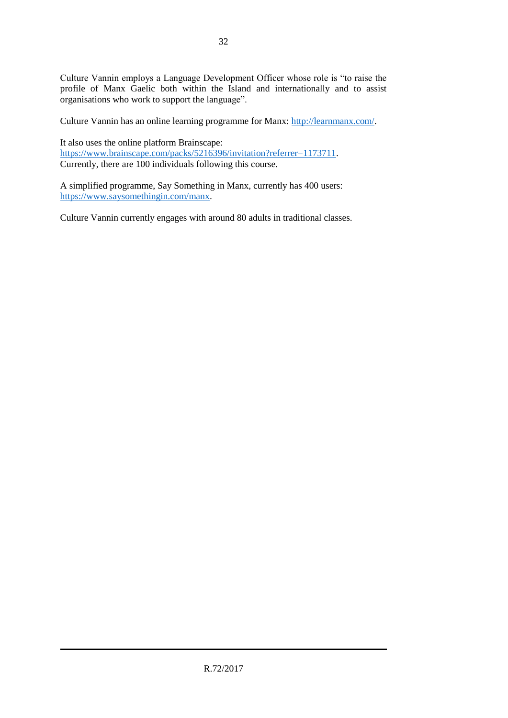Culture Vannin employs a Language Development Officer whose role is "to raise the profile of Manx Gaelic both within the Island and internationally and to assist organisations who work to support the language".

Culture Vannin has an online learning programme for Manx: [http://learnmanx.com/.](http://learnmanx.com/)

It also uses the online platform Brainscape: [https://www.brainscape.com/packs/5216396/invitation?referrer=1173711.](https://www.brainscape.com/packs/5216396/invitation?referrer=1173711) Currently, there are 100 individuals following this course.

A simplified programme, Say Something in Manx, currently has 400 users: [https://www.saysomethingin.com/manx.](https://www.saysomethingin.com/manx)

Culture Vannin currently engages with around 80 adults in traditional classes.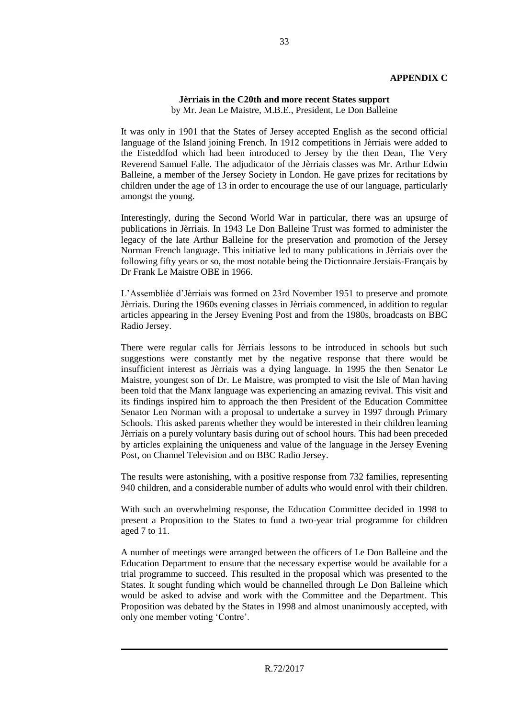#### **APPENDIX C**

#### **Jèrriais in the C20th and more recent States support** by Mr. Jean Le Maistre, M.B.E., President, Le Don Balleine

It was only in 1901 that the States of Jersey accepted English as the second official language of the Island joining French. In 1912 competitions in Jèrriais were added to the Eisteddfod which had been introduced to Jersey by the then Dean, The Very Reverend Samuel Falle. The adjudicator of the Jèrriais classes was Mr. Arthur Edwin Balleine, a member of the Jersey Society in London. He gave prizes for recitations by children under the age of 13 in order to encourage the use of our language, particularly amongst the young.

Interestingly, during the Second World War in particular, there was an upsurge of publications in Jèrriais. In 1943 Le Don Balleine Trust was formed to administer the legacy of the late Arthur Balleine for the preservation and promotion of the Jersey Norman French language. This initiative led to many publications in Jèrriais over the following fifty years or so, the most notable being the Dictionnaire Jersiais-Français by Dr Frank Le Maistre OBE in 1966.

L'Assembliée d'Jèrriais was formed on 23rd November 1951 to preserve and promote Jèrriais. During the 1960s evening classes in Jèrriais commenced, in addition to regular articles appearing in the Jersey Evening Post and from the 1980s, broadcasts on BBC Radio Jersey.

There were regular calls for Jèrriais lessons to be introduced in schools but such suggestions were constantly met by the negative response that there would be insufficient interest as Jèrriais was a dying language. In 1995 the then Senator Le Maistre, youngest son of Dr. Le Maistre, was prompted to visit the Isle of Man having been told that the Manx language was experiencing an amazing revival. This visit and its findings inspired him to approach the then President of the Education Committee Senator Len Norman with a proposal to undertake a survey in 1997 through Primary Schools. This asked parents whether they would be interested in their children learning Jèrriais on a purely voluntary basis during out of school hours. This had been preceded by articles explaining the uniqueness and value of the language in the Jersey Evening Post, on Channel Television and on BBC Radio Jersey.

The results were astonishing, with a positive response from 732 families, representing 940 children, and a considerable number of adults who would enrol with their children.

With such an overwhelming response, the Education Committee decided in 1998 to present a Proposition to the States to fund a two-year trial programme for children aged 7 to 11.

A number of meetings were arranged between the officers of Le Don Balleine and the Education Department to ensure that the necessary expertise would be available for a trial programme to succeed. This resulted in the proposal which was presented to the States. It sought funding which would be channelled through Le Don Balleine which would be asked to advise and work with the Committee and the Department. This Proposition was debated by the States in 1998 and almost unanimously accepted, with only one member voting 'Contre'.